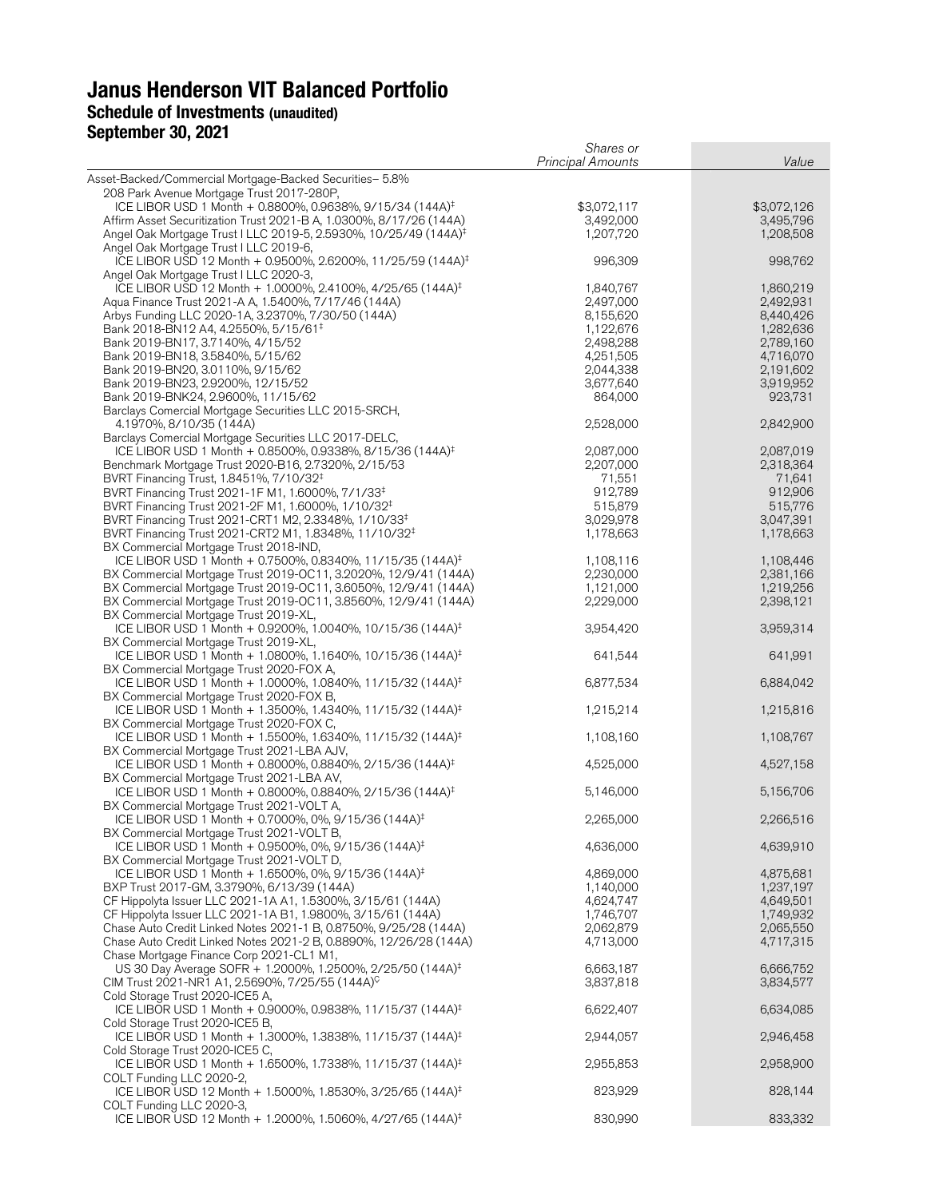# **Janus Henderson VIT Balanced Portfolio** Schedule of Investments (unaudited)

## **September 30, 2021**

|                                                                                                                                              | Shares or<br><b>Principal Amounts</b> | Value                    |
|----------------------------------------------------------------------------------------------------------------------------------------------|---------------------------------------|--------------------------|
| Asset-Backed/Commercial Mortgage-Backed Securities- 5.8%                                                                                     |                                       |                          |
| 208 Park Avenue Mortgage Trust 2017-280P,                                                                                                    |                                       |                          |
| ICE LIBOR USD 1 Month + 0.8800%, 0.9638%, 9/15/34 (144A) <sup>‡</sup><br>Affirm Asset Securitization Trust 2021-B A, 1.0300%, 8/17/26 (144A) | \$3,072,117<br>3,492,000              | \$3,072,126<br>3,495,796 |
| Angel Oak Mortgage Trust I LLC 2019-5, 2.5930%, 10/25/49 (144A) <sup>‡</sup>                                                                 | 1,207,720                             | 1,208,508                |
| Angel Oak Mortgage Trust I LLC 2019-6,                                                                                                       |                                       |                          |
| ICE LIBOR USD 12 Month + 0.9500%, 2.6200%, 11/25/59 (144A) <sup>‡</sup>                                                                      | 996,309                               | 998,762                  |
| Angel Oak Mortgage Trust I LLC 2020-3,<br>ICE LIBOR USD 12 Month + 1.0000%, 2.4100%, 4/25/65 (144A) <sup>‡</sup>                             | 1,840,767                             | 1,860,219                |
| Aqua Finance Trust 2021-A A, 1.5400%, 7/17/46 (144A)                                                                                         | 2,497,000                             | 2,492,931                |
| Arbys Funding LLC 2020-1A, 3.2370%, 7/30/50 (144A)                                                                                           | 8,155,620                             | 8,440,426                |
| Bank 2018-BN12 A4, 4.2550%, 5/15/61 <sup>‡</sup><br>Bank 2019-BN17, 3.7140%, 4/15/52                                                         | 1,122,676<br>2,498,288                | 1,282,636<br>2,789,160   |
| Bank 2019-BN18, 3.5840%, 5/15/62                                                                                                             | 4,251,505                             | 4,716,070                |
| Bank 2019-BN20, 3.0110%, 9/15/62                                                                                                             | 2,044,338                             | 2,191,602                |
| Bank 2019-BN23, 2.9200%, 12/15/52<br>Bank 2019-BNK24, 2.9600%, 11/15/62                                                                      | 3,677,640<br>864,000                  | 3,919,952<br>923,731     |
| Barclays Comercial Mortgage Securities LLC 2015-SRCH,                                                                                        |                                       |                          |
| 4.1970%, 8/10/35 (144A)                                                                                                                      | 2,528,000                             | 2,842,900                |
| Barclays Comercial Mortgage Securities LLC 2017-DELC,                                                                                        |                                       |                          |
| ICE LIBOR USD 1 Month + 0.8500%, 0.9338%, 8/15/36 (144A) <sup>‡</sup><br>Benchmark Mortgage Trust 2020-B16, 2.7320%, 2/15/53                 | 2,087,000<br>2,207,000                | 2,087,019<br>2,318,364   |
| BVRT Financing Trust, 1.8451%, 7/10/32 <sup>‡</sup>                                                                                          | 71,551                                | 71,641                   |
| BVRT Financing Trust 2021-1F M1, 1.6000%, 7/1/33 <sup>‡</sup>                                                                                | 912,789                               | 912,906                  |
| BVRT Financing Trust 2021-2F M1, 1.6000%, 1/10/32 <sup>‡</sup><br>BVRT Financing Trust 2021-CRT1 M2, 2.3348%, 1/10/33 <sup>‡</sup>           | 515,879<br>3,029,978                  | 515,776<br>3,047,391     |
| BVRT Financing Trust 2021-CRT2 M1, 1.8348%, 11/10/32 <sup>‡</sup>                                                                            | 1,178,663                             | 1,178,663                |
| BX Commercial Mortgage Trust 2018-IND,                                                                                                       |                                       |                          |
| ICE LIBOR USD 1 Month + 0.7500%, 0.8340%, 11/15/35 (144A) <sup>‡</sup>                                                                       | 1,108,116                             | 1,108,446                |
| BX Commercial Mortgage Trust 2019-OC11, 3.2020%, 12/9/41 (144A)<br>BX Commercial Mortgage Trust 2019-OC11, 3.6050%, 12/9/41 (144A)           | 2,230,000<br>1,121,000                | 2,381,166<br>1,219,256   |
| BX Commercial Mortgage Trust 2019-OC11, 3.8560%, 12/9/41 (144A)                                                                              | 2,229,000                             | 2,398,121                |
| BX Commercial Mortgage Trust 2019-XL,                                                                                                        |                                       |                          |
| ICE LIBOR USD 1 Month + 0.9200%, 1.0040%, 10/15/36 (144A) <sup>‡</sup>                                                                       | 3,954,420                             | 3,959,314                |
| BX Commercial Mortgage Trust 2019-XL,<br>ICE LIBOR USD 1 Month + 1.0800%, 1.1640%, 10/15/36 (144A) <sup>‡</sup>                              | 641,544                               | 641,991                  |
| BX Commercial Mortgage Trust 2020-FOX A,                                                                                                     |                                       |                          |
| ICE LIBOR USD 1 Month + 1.0000%, 1.0840%, 11/15/32 (144A) <sup>‡</sup>                                                                       | 6,877,534                             | 6,884,042                |
| BX Commercial Mortgage Trust 2020-FOX B,<br>ICE LIBOR USD 1 Month + 1.3500%, 1.4340%, 11/15/32 (144A) <sup>‡</sup>                           | 1,215,214                             | 1,215,816                |
| BX Commercial Mortgage Trust 2020-FOX C,                                                                                                     |                                       |                          |
| ICE LIBOR USD 1 Month + 1.5500%, 1.6340%, 11/15/32 (144A) <sup>‡</sup>                                                                       | 1,108,160                             | 1,108,767                |
| BX Commercial Mortgage Trust 2021-LBA AJV,<br>ICE LIBOR USD 1 Month + 0.8000%, 0.8840%, 2/15/36 (144A) <sup>‡</sup>                          | 4,525,000                             | 4,527,158                |
| BX Commercial Mortgage Trust 2021-LBA AV,                                                                                                    |                                       |                          |
| ICE LIBOR USD 1 Month + 0.8000%, 0.8840%, 2/15/36 (144A) <sup>‡</sup>                                                                        | 5,146,000                             | 5,156,706                |
| BX Commercial Mortgage Trust 2021-VOLT A,                                                                                                    |                                       |                          |
| ICE LIBOR USD 1 Month + 0.7000%, 0%, 9/15/36 (144A) <sup>‡</sup><br>BX Commercial Mortgage Trust 2021-VOLT B,                                | 2,265,000                             | 2,266,516                |
| ICE LIBOR USD 1 Month + 0.9500%, 0%, 9/15/36 (144A) <sup>‡</sup>                                                                             | 4,636,000                             | 4,639,910                |
| BX Commercial Mortgage Trust 2021-VOLT D,                                                                                                    |                                       |                          |
| ICE LIBOR USD 1 Month + 1.6500%, 0%, 9/15/36 (144A) <sup>‡</sup><br>BXP Trust 2017-GM, 3.3790%, 6/13/39 (144A)                               | 4,869,000<br>1,140,000                | 4,875,681<br>1,237,197   |
| CF Hippolyta Issuer LLC 2021-1A A1, 1.5300%, 3/15/61 (144A)                                                                                  | 4,624,747                             | 4,649,501                |
| CF Hippolyta Issuer LLC 2021-1A B1, 1.9800%, 3/15/61 (144A)                                                                                  | 1,746,707                             | 1,749,932                |
| Chase Auto Credit Linked Notes 2021-1 B, 0.8750%, 9/25/28 (144A)                                                                             | 2,062,879                             | 2,065,550                |
| Chase Auto Credit Linked Notes 2021-2 B, 0.8890%, 12/26/28 (144A)<br>Chase Mortgage Finance Corp 2021-CL1 M1,                                | 4,713,000                             | 4,717,315                |
| US 30 Day Average SOFR + 1.2000%, 1.2500%, 2/25/50 (144A) <sup>‡</sup>                                                                       | 6,663,187                             | 6,666,752                |
| CIM Trust 2021-NR1 A1, 2.5690%, 7/25/55 (144A) <sup>C</sup>                                                                                  | 3,837,818                             | 3,834,577                |
| Cold Storage Trust 2020-ICE5 A,<br>ICE LIBOR USD 1 Month + 0.9000%, 0.9838%, 11/15/37 (144A) <sup>‡</sup>                                    | 6,622,407                             | 6,634,085                |
| Cold Storage Trust 2020-ICE5 B,                                                                                                              |                                       |                          |
| ICE LIBOR USD 1 Month + 1.3000%, 1.3838%, 11/15/37 (144A) <sup>‡</sup>                                                                       | 2,944,057                             | 2,946,458                |
| Cold Storage Trust 2020-ICE5 C,                                                                                                              |                                       |                          |
| ICE LIBOR USD 1 Month + 1.6500%, 1.7338%, 11/15/37 (144A) <sup>‡</sup><br>COLT Funding LLC 2020-2,                                           | 2,955,853                             | 2,958,900                |
| ICE LIBOR USD 12 Month + 1.5000%, 1.8530%, 3/25/65 (144A) <sup>‡</sup>                                                                       | 823,929                               | 828,144                  |
| COLT Funding LLC 2020-3,                                                                                                                     |                                       |                          |
| ICE LIBOR USD 12 Month + 1.2000%, 1.5060%, 4/27/65 (144A) <sup>‡</sup>                                                                       | 830,990                               | 833,332                  |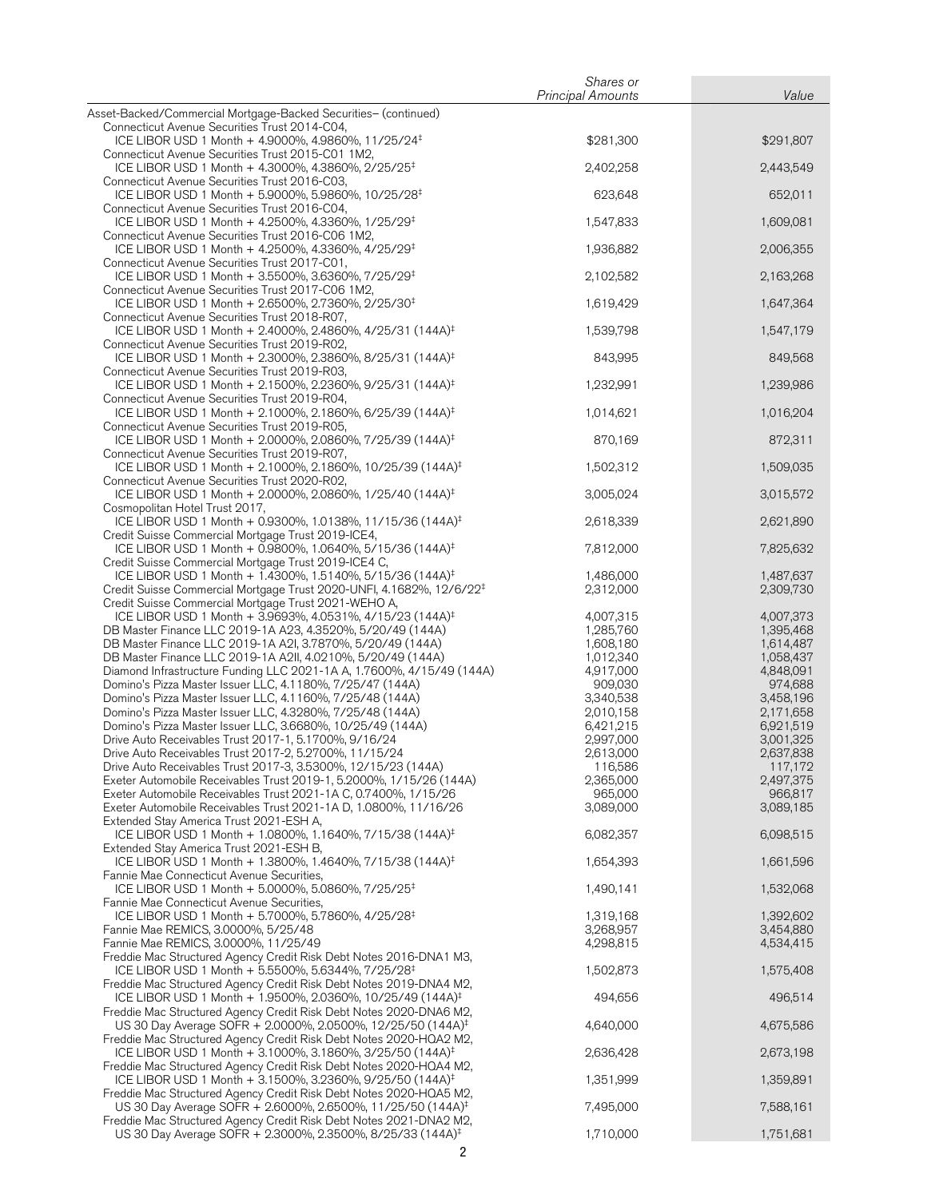|                                                                                                                                               | Shares or                |                        |
|-----------------------------------------------------------------------------------------------------------------------------------------------|--------------------------|------------------------|
|                                                                                                                                               | <b>Principal Amounts</b> | Value                  |
| Asset-Backed/Commercial Mortgage-Backed Securities- (continued)                                                                               |                          |                        |
| Connecticut Avenue Securities Trust 2014-C04,<br>ICE LIBOR USD 1 Month + 4.9000%, 4.9860%, 11/25/24 <sup>‡</sup>                              | \$281,300                | \$291,807              |
| Connecticut Avenue Securities Trust 2015-C01 1M2,                                                                                             |                          |                        |
| ICE LIBOR USD 1 Month + 4.3000%, 4.3860%, 2/25/25 <sup>‡</sup>                                                                                | 2,402,258                | 2,443,549              |
| Connecticut Avenue Securities Trust 2016-C03,                                                                                                 |                          |                        |
| ICE LIBOR USD 1 Month + 5.9000%, 5.9860%, 10/25/28 <sup>‡</sup>                                                                               | 623,648                  | 652,011                |
| Connecticut Avenue Securities Trust 2016-C04,                                                                                                 |                          |                        |
| ICE LIBOR USD 1 Month + 4.2500%, 4.3360%, 1/25/29 <sup>‡</sup>                                                                                | 1,547,833                | 1,609,081              |
| Connecticut Avenue Securities Trust 2016-C06 1M2,<br>ICE LIBOR USD 1 Month + 4.2500%, 4.3360%, 4/25/29 <sup>‡</sup>                           |                          |                        |
| Connecticut Avenue Securities Trust 2017-C01,                                                                                                 | 1,936,882                | 2,006,355              |
| ICE LIBOR USD 1 Month + 3.5500%, 3.6360%, 7/25/29 <sup>‡</sup>                                                                                | 2,102,582                | 2,163,268              |
| Connecticut Avenue Securities Trust 2017-C06 1M2,                                                                                             |                          |                        |
| ICE LIBOR USD 1 Month + 2.6500%, 2.7360%, 2/25/30 <sup>‡</sup>                                                                                | 1,619,429                | 1,647,364              |
| Connecticut Avenue Securities Trust 2018-R07,                                                                                                 |                          |                        |
| ICE LIBOR USD 1 Month + 2.4000%, 2.4860%, 4/25/31 (144A) <sup>‡</sup>                                                                         | 1,539,798                | 1,547,179              |
| Connecticut Avenue Securities Trust 2019-R02,<br>ICE LIBOR USD 1 Month + 2.3000%, 2.3860%, 8/25/31 (144A) <sup>‡</sup>                        | 843,995                  | 849,568                |
| Connecticut Avenue Securities Trust 2019-R03,                                                                                                 |                          |                        |
| ICE LIBOR USD 1 Month + 2.1500%, 2.2360%, 9/25/31 (144A) <sup>‡</sup>                                                                         | 1,232,991                | 1,239,986              |
| Connecticut Avenue Securities Trust 2019-R04,                                                                                                 |                          |                        |
| ICE LIBOR USD 1 Month + 2.1000%, 2.1860%, 6/25/39 (144A) <sup>‡</sup>                                                                         | 1,014,621                | 1,016,204              |
| Connecticut Avenue Securities Trust 2019-R05,                                                                                                 |                          |                        |
| ICE LIBOR USD 1 Month + 2.0000%, 2.0860%, 7/25/39 (144A) <sup>‡</sup>                                                                         | 870,169                  | 872,311                |
| Connecticut Avenue Securities Trust 2019-R07,<br>ICE LIBOR USD 1 Month + 2.1000%, 2.1860%, 10/25/39 (144A) <sup>‡</sup>                       | 1,502,312                | 1,509,035              |
| Connecticut Avenue Securities Trust 2020-R02,                                                                                                 |                          |                        |
| ICE LIBOR USD 1 Month + 2.0000%, 2.0860%, 1/25/40 (144A) <sup>‡</sup>                                                                         | 3,005,024                | 3,015,572              |
| Cosmopolitan Hotel Trust 2017,                                                                                                                |                          |                        |
| ICE LIBOR USD 1 Month + 0.9300%, 1.0138%, 11/15/36 (144A) <sup>‡</sup>                                                                        | 2,618,339                | 2,621,890              |
| Credit Suisse Commercial Mortgage Trust 2019-ICE4,                                                                                            |                          |                        |
| ICE LIBOR USD 1 Month + 0.9800%, 1.0640%, 5/15/36 (144A) <sup>‡</sup><br>Credit Suisse Commercial Mortgage Trust 2019-ICE4 C,                 | 7,812,000                | 7,825,632              |
| ICE LIBOR USD 1 Month + 1.4300%, 1.5140%, 5/15/36 (144A) <sup>‡</sup>                                                                         | 1,486,000                | 1,487,637              |
| Credit Suisse Commercial Mortgage Trust 2020-UNFI, 4.1682%, 12/6/22 <sup>‡</sup>                                                              | 2,312,000                | 2,309,730              |
| Credit Suisse Commercial Mortgage Trust 2021-WEHO A,                                                                                          |                          |                        |
| ICE LIBOR USD 1 Month + 3.9693%, 4.0531%, 4/15/23 (144A) <sup>‡</sup>                                                                         | 4,007,315                | 4,007,373              |
| DB Master Finance LLC 2019-1A A23, 4.3520%, 5/20/49 (144A)                                                                                    | 1,285,760                | 1,395,468              |
| DB Master Finance LLC 2019-1A A2I, 3.7870%, 5/20/49 (144A)                                                                                    | 1,608,180                | 1,614,487              |
| DB Master Finance LLC 2019-1A A2II, 4.0210%, 5/20/49 (144A)<br>Diamond Infrastructure Funding LLC 2021-1A A, 1.7600%, 4/15/49 (144A)          | 1,012,340<br>4,917,000   | 1,058,437<br>4,848,091 |
| Domino's Pizza Master Issuer LLC, 4.1180%, 7/25/47 (144A)                                                                                     | 909,030                  | 974,688                |
| Domino's Pizza Master Issuer LLC, 4.1160%, 7/25/48 (144A)                                                                                     | 3,340,538                | 3,458,196              |
| Domino's Pizza Master Issuer LLC, 4.3280%, 7/25/48 (144A)                                                                                     | 2,010,158                | 2,171,658              |
| Domino's Pizza Master Issuer LLC, 3.6680%, 10/25/49 (144A)                                                                                    | 6,421,215                | 6,921,519              |
| Drive Auto Receivables Trust 2017-1, 5.1700%, 9/16/24                                                                                         | 2,997,000                | 3,001,325              |
| Drive Auto Receivables Trust 2017-2, 5.2700%, 11/15/24                                                                                        | 2,613,000                | 2,637,838              |
| Drive Auto Receivables Trust 2017-3, 3.5300%, 12/15/23 (144A)<br>Exeter Automobile Receivables Trust 2019-1, 5.2000%, 1/15/26 (144A)          | 116,586<br>2,365,000     | 117,172<br>2,497,375   |
| Exeter Automobile Receivables Trust 2021-1A C, 0.7400%, 1/15/26                                                                               | 965,000                  | 966,817                |
| Exeter Automobile Receivables Trust 2021-1A D, 1.0800%, 11/16/26                                                                              | 3,089,000                | 3,089,185              |
| Extended Stay America Trust 2021-ESH A,                                                                                                       |                          |                        |
| ICE LIBOR USD 1 Month + 1.0800%, 1.1640%, 7/15/38 (144A) <sup>‡</sup>                                                                         | 6,082,357                | 6,098,515              |
| Extended Stay America Trust 2021-ESH B,                                                                                                       |                          |                        |
| ICE LIBOR USD 1 Month + 1.3800%, 1.4640%, 7/15/38 (144A) <sup>‡</sup>                                                                         | 1,654,393                | 1,661,596              |
| Fannie Mae Connecticut Avenue Securities,<br>ICE LIBOR USD 1 Month + 5.0000%, 5.0860%, 7/25/25 <sup>‡</sup>                                   | 1,490,141                | 1,532,068              |
| Fannie Mae Connecticut Avenue Securities,                                                                                                     |                          |                        |
| ICE LIBOR USD 1 Month + 5.7000%, 5.7860%, 4/25/28 <sup>‡</sup>                                                                                | 1,319,168                | 1,392,602              |
| Fannie Mae REMICS, 3.0000%, 5/25/48                                                                                                           | 3,268,957                | 3,454,880              |
| Fannie Mae REMICS, 3.0000%, 11/25/49                                                                                                          | 4,298,815                | 4,534,415              |
| Freddie Mac Structured Agency Credit Risk Debt Notes 2016-DNA1 M3,                                                                            |                          |                        |
| ICE LIBOR USD 1 Month + 5.5500%, 5.6344%, 7/25/28 <sup>‡</sup>                                                                                | 1,502,873                | 1,575,408              |
| Freddie Mac Structured Agency Credit Risk Debt Notes 2019-DNA4 M2,<br>ICE LIBOR USD 1 Month + 1.9500%, 2.0360%, 10/25/49 (144A) <sup>‡</sup>  | 494,656                  | 496,514                |
| Freddie Mac Structured Agency Credit Risk Debt Notes 2020-DNA6 M2,                                                                            |                          |                        |
| US 30 Day Average SOFR + 2.0000%, 2.0500%, 12/25/50 (144A) <sup>‡</sup>                                                                       | 4,640,000                | 4,675,586              |
| Freddie Mac Structured Agency Credit Risk Debt Notes 2020-HOA2 M2,                                                                            |                          |                        |
| ICE LIBOR USD 1 Month + 3.1000%, 3.1860%, 3/25/50 (144A) <sup>‡</sup>                                                                         | 2,636,428                | 2,673,198              |
| Freddie Mac Structured Agency Credit Risk Debt Notes 2020-HQA4 M2,                                                                            |                          |                        |
| ICE LIBOR USD 1 Month + 3.1500%, 3.2360%, 9/25/50 (144A) <sup>‡</sup>                                                                         | 1,351,999                | 1,359,891              |
| Freddie Mac Structured Agency Credit Risk Debt Notes 2020-HQA5 M2,<br>US 30 Day Average SOFR + 2.6000%, 2.6500%, 11/25/50 (144A) <sup>‡</sup> | 7,495,000                | 7,588,161              |
| Freddie Mac Structured Agency Credit Risk Debt Notes 2021-DNA2 M2,                                                                            |                          |                        |
| US 30 Day Average SOFR + 2.3000%, 2.3500%, 8/25/33 (144A) <sup>‡</sup>                                                                        | 1,710,000                | 1,751,681              |
|                                                                                                                                               |                          |                        |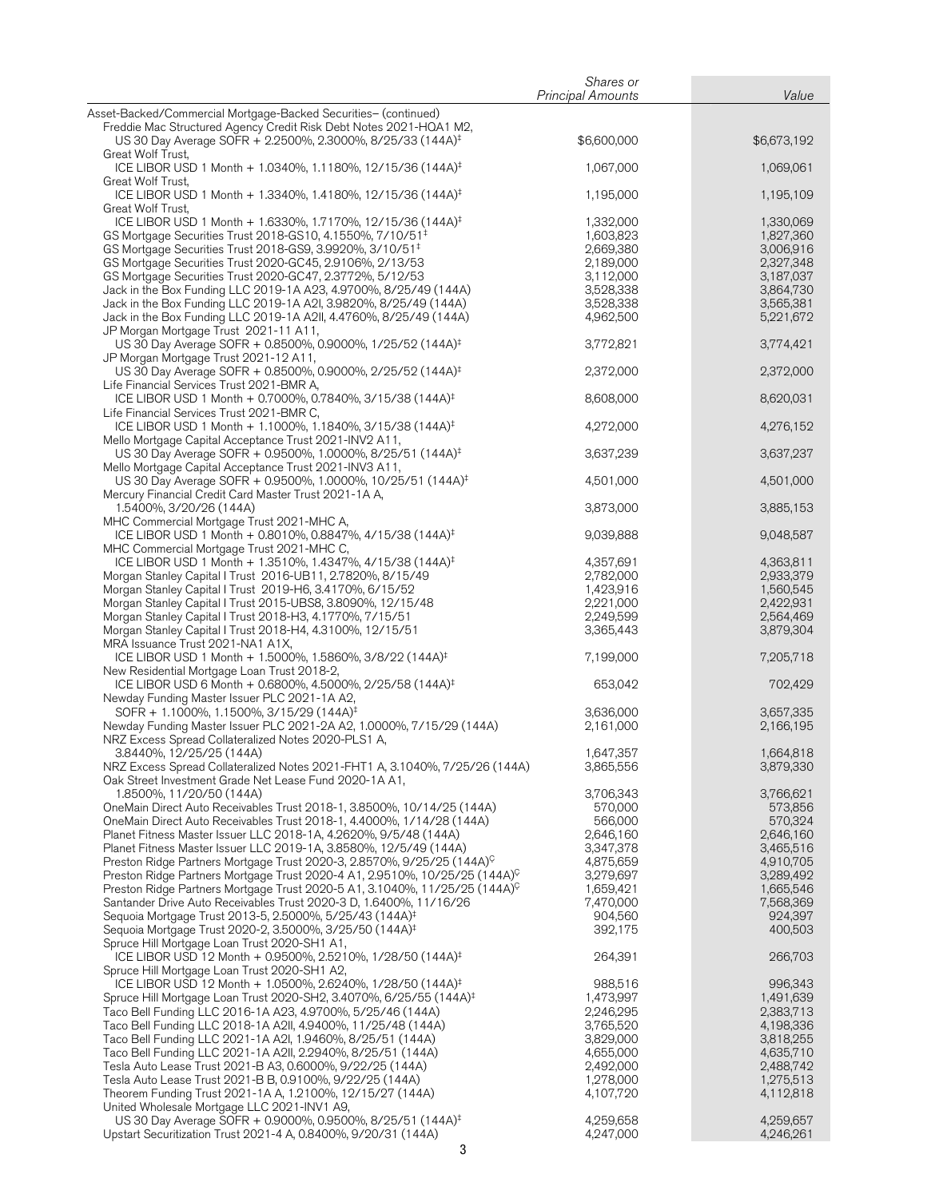|                                                                                                                                                                                                                 | Shares or                |                        |
|-----------------------------------------------------------------------------------------------------------------------------------------------------------------------------------------------------------------|--------------------------|------------------------|
|                                                                                                                                                                                                                 | <b>Principal Amounts</b> | Value                  |
| Asset-Backed/Commercial Mortgage-Backed Securities- (continued)<br>Freddie Mac Structured Agency Credit Risk Debt Notes 2021-HQA1 M2,<br>US 30 Day Average SOFR + 2.2500%, 2.3000%, 8/25/33 (144A) <sup>‡</sup> | \$6,600,000              | \$6,673,192            |
| Great Wolf Trust,<br>ICE LIBOR USD 1 Month + 1.0340%, 1.1180%, 12/15/36 (144A) <sup>‡</sup>                                                                                                                     | 1,067,000                | 1,069,061              |
| Great Wolf Trust,<br>ICE LIBOR USD 1 Month + 1.3340%, 1.4180%, 12/15/36 (144A) <sup>‡</sup>                                                                                                                     | 1,195,000                | 1,195,109              |
| Great Wolf Trust,<br>ICE LIBOR USD 1 Month + 1.6330%, 1.7170%, 12/15/36 (144A) <sup>‡</sup>                                                                                                                     | 1,332,000                | 1,330,069              |
| GS Mortgage Securities Trust 2018-GS10, 4.1550%, 7/10/51 <sup>‡</sup>                                                                                                                                           | 1,603,823                | 1,827,360              |
| GS Mortgage Securities Trust 2018-GS9, 3.9920%, 3/10/51 <sup>‡</sup>                                                                                                                                            | 2,669,380                | 3,006,916              |
| GS Mortgage Securities Trust 2020-GC45, 2.9106%, 2/13/53                                                                                                                                                        | 2,189,000                | 2,327,348              |
| GS Mortgage Securities Trust 2020-GC47, 2.3772%, 5/12/53                                                                                                                                                        | 3,112,000                | 3,187,037              |
| Jack in the Box Funding LLC 2019-1A A23, 4.9700%, 8/25/49 (144A)                                                                                                                                                | 3,528,338                | 3,864,730              |
| Jack in the Box Funding LLC 2019-1A A2I, 3.9820%, 8/25/49 (144A)                                                                                                                                                | 3,528,338                | 3,565,381              |
| Jack in the Box Funding LLC 2019-1A A2II, 4.4760%, 8/25/49 (144A)<br>JP Morgan Mortgage Trust 2021-11 A11,                                                                                                      | 4,962,500                | 5,221,672              |
| US 30 Day Average SOFR + 0.8500%, 0.9000%, 1/25/52 (144A) <sup>‡</sup><br>JP Morgan Mortgage Trust 2021-12 A11,                                                                                                 | 3,772,821                | 3,774,421              |
| US 30 Day Average SOFR + 0.8500%, 0.9000%, 2/25/52 (144A) <sup>‡</sup><br>Life Financial Services Trust 2021-BMR A,                                                                                             | 2,372,000                | 2,372,000              |
| ICE LIBOR USD 1 Month + 0.7000%, 0.7840%, 3/15/38 (144A) <sup>‡</sup>                                                                                                                                           | 8,608,000                | 8,620,031              |
| Life Financial Services Trust 2021-BMR C,<br>ICE LIBOR USD 1 Month + 1.1000%, 1.1840%, 3/15/38 (144A) <sup>‡</sup>                                                                                              | 4,272,000                | 4,276,152              |
| Mello Mortgage Capital Acceptance Trust 2021-INV2 A11,<br>US 30 Day Average SOFR + 0.9500%, 1.0000%, 8/25/51 (144A) <sup>‡</sup>                                                                                | 3,637,239                | 3,637,237              |
| Mello Mortgage Capital Acceptance Trust 2021-INV3 A11,<br>US 30 Day Average SOFR + 0.9500%, 1.0000%, 10/25/51 (144A) <sup>‡</sup>                                                                               | 4,501,000                | 4,501,000              |
| Mercury Financial Credit Card Master Trust 2021-1A A,<br>1.5400%, 3/20/26 (144A)                                                                                                                                | 3,873,000                | 3,885,153              |
| MHC Commercial Mortgage Trust 2021-MHC A,<br>ICE LIBOR USD 1 Month + 0.8010%, 0.8847%, 4/15/38 (144A) <sup>‡</sup>                                                                                              | 9,039,888                | 9,048,587              |
| MHC Commercial Mortgage Trust 2021-MHC C,                                                                                                                                                                       |                          |                        |
| ICE LIBOR USD 1 Month + 1.3510%, 1.4347%, 4/15/38 (144A) <sup>‡</sup><br>Morgan Stanley Capital I Trust 2016-UB11, 2.7820%, 8/15/49                                                                             | 4,357,691<br>2,782,000   | 4,363,811<br>2,933,379 |
| Morgan Stanley Capital I Trust 2019-H6, 3.4170%, 6/15/52                                                                                                                                                        | 1,423,916                | 1,560,545              |
| Morgan Stanley Capital I Trust 2015-UBS8, 3.8090%, 12/15/48                                                                                                                                                     | 2,221,000                | 2,422,931              |
| Morgan Stanley Capital I Trust 2018-H3, 4.1770%, 7/15/51                                                                                                                                                        | 2,249,599                | 2,564,469              |
| Morgan Stanley Capital I Trust 2018-H4, 4.3100%, 12/15/51<br>MRA Issuance Trust 2021-NA1 A1X,                                                                                                                   | 3,365,443                | 3,879,304              |
| ICE LIBOR USD 1 Month + 1.5000%, 1.5860%, 3/8/22 (144A) <sup>‡</sup><br>New Residential Mortgage Loan Trust 2018-2,                                                                                             | 7,199,000                | 7,205,718              |
| ICE LIBOR USD 6 Month + 0.6800%, 4.5000%, 2/25/58 (144A) <sup>‡</sup><br>Newday Funding Master Issuer PLC 2021-1A A2,                                                                                           | 653,042                  | 702,429                |
| SOFR + 1.1000%, 1.1500%, 3/15/29 (144A) <sup>‡</sup>                                                                                                                                                            | 3,636,000                | 3,657,335              |
| Newday Funding Master Issuer PLC 2021-2A A2, 1.0000%, 7/15/29 (144A)                                                                                                                                            | 2,161,000                | 2,166,195              |
| NRZ Excess Spread Collateralized Notes 2020-PLS1 A,                                                                                                                                                             |                          |                        |
| 3.8440%, 12/25/25 (144A)                                                                                                                                                                                        | 1,647,357                | 1,664,818              |
| NRZ Excess Spread Collateralized Notes 2021-FHT1 A, 3.1040%, 7/25/26 (144A)<br>Oak Street Investment Grade Net Lease Fund 2020-1A A1,                                                                           | 3,865,556                | 3,879,330              |
| 1.8500%, 11/20/50 (144A)                                                                                                                                                                                        | 3,706,343                | 3,766,621              |
| OneMain Direct Auto Receivables Trust 2018-1, 3.8500%, 10/14/25 (144A)                                                                                                                                          | 570,000                  | 573,856                |
| OneMain Direct Auto Receivables Trust 2018-1, 4.4000%, 1/14/28 (144A)                                                                                                                                           | 566,000                  | 570,324                |
| Planet Fitness Master Issuer LLC 2018-1A, 4.2620%, 9/5/48 (144A)                                                                                                                                                | 2,646,160                | 2,646,160              |
| Planet Fitness Master Issuer LLC 2019-1A, 3.8580%, 12/5/49 (144A)                                                                                                                                               | 3,347,378                | 3,465,516              |
| Preston Ridge Partners Mortgage Trust 2020-3, 2.8570%, 9/25/25 (144A) <sup>C</sup>                                                                                                                              | 4,875,659                | 4,910,705              |
| Preston Ridge Partners Mortgage Trust 2020-4 A1, 2.9510%, 10/25/25 (144A) <sup>C</sup>                                                                                                                          | 3,279,697                | 3,289,492              |
| Preston Ridge Partners Mortgage Trust 2020-5 A1, 3.1040%, 11/25/25 (144A) ?                                                                                                                                     | 1,659,421                | 1,665,546              |
| Santander Drive Auto Receivables Trust 2020-3 D, 1.6400%, 11/16/26                                                                                                                                              | 7,470,000                | 7,568,369              |
| Sequoia Mortgage Trust 2013-5, 2.5000%, 5/25/43 (144A) <sup>‡</sup>                                                                                                                                             | 904,560                  | 924,397                |
| Sequoia Mortgage Trust 2020-2, 3.5000%, 3/25/50 (144A) <sup>‡</sup>                                                                                                                                             | 392,175                  | 400,503                |
| Spruce Hill Mortgage Loan Trust 2020-SH1 A1,<br>ICE LIBOR USD 12 Month + 0.9500%, 2.5210%, 1/28/50 (144A) <sup>‡</sup>                                                                                          | 264,391                  | 266,703                |
| Spruce Hill Mortgage Loan Trust 2020-SH1 A2,                                                                                                                                                                    |                          |                        |
| ICE LIBOR USD 12 Month + 1.0500%, 2.6240%, 1/28/50 (144A) <sup>‡</sup>                                                                                                                                          | 988,516                  | 996,343                |
| Spruce Hill Mortgage Loan Trust 2020-SH2, 3.4070%, 6/25/55 (144A) <sup>‡</sup>                                                                                                                                  | 1,473,997                | 1,491,639              |
| Taco Bell Funding LLC 2016-1A A23, 4.9700%, 5/25/46 (144A)                                                                                                                                                      | 2,246,295                | 2,383,713              |
| Taco Bell Funding LLC 2018-1A A2II, 4.9400%, 11/25/48 (144A)                                                                                                                                                    | 3,765,520                | 4,198,336              |
| Taco Bell Funding LLC 2021-1A A2I, 1.9460%, 8/25/51 (144A)                                                                                                                                                      | 3,829,000                | 3,818,255              |
| Taco Bell Funding LLC 2021-1A A2II, 2.2940%, 8/25/51 (144A)<br>Tesla Auto Lease Trust 2021-B A3, 0.6000%, 9/22/25 (144A)                                                                                        | 4,655,000<br>2,492,000   | 4,635,710<br>2,488,742 |
| Tesla Auto Lease Trust 2021-B B, 0.9100%, 9/22/25 (144A)                                                                                                                                                        | 1,278,000                | 1,275,513              |
| Theorem Funding Trust 2021-1A A, 1.2100%, 12/15/27 (144A)                                                                                                                                                       | 4,107,720                | 4,112,818              |
| United Wholesale Mortgage LLC 2021-INV1 A9,                                                                                                                                                                     |                          |                        |
| US 30 Day Average SOFR + 0.9000%, 0.9500%, 8/25/51 (144A) <sup>‡</sup>                                                                                                                                          | 4,259,658                | 4,259,657              |
| Upstart Securitization Trust 2021-4 A, 0.8400%, 9/20/31 (144A)                                                                                                                                                  | 4,247,000                | 4,246,261              |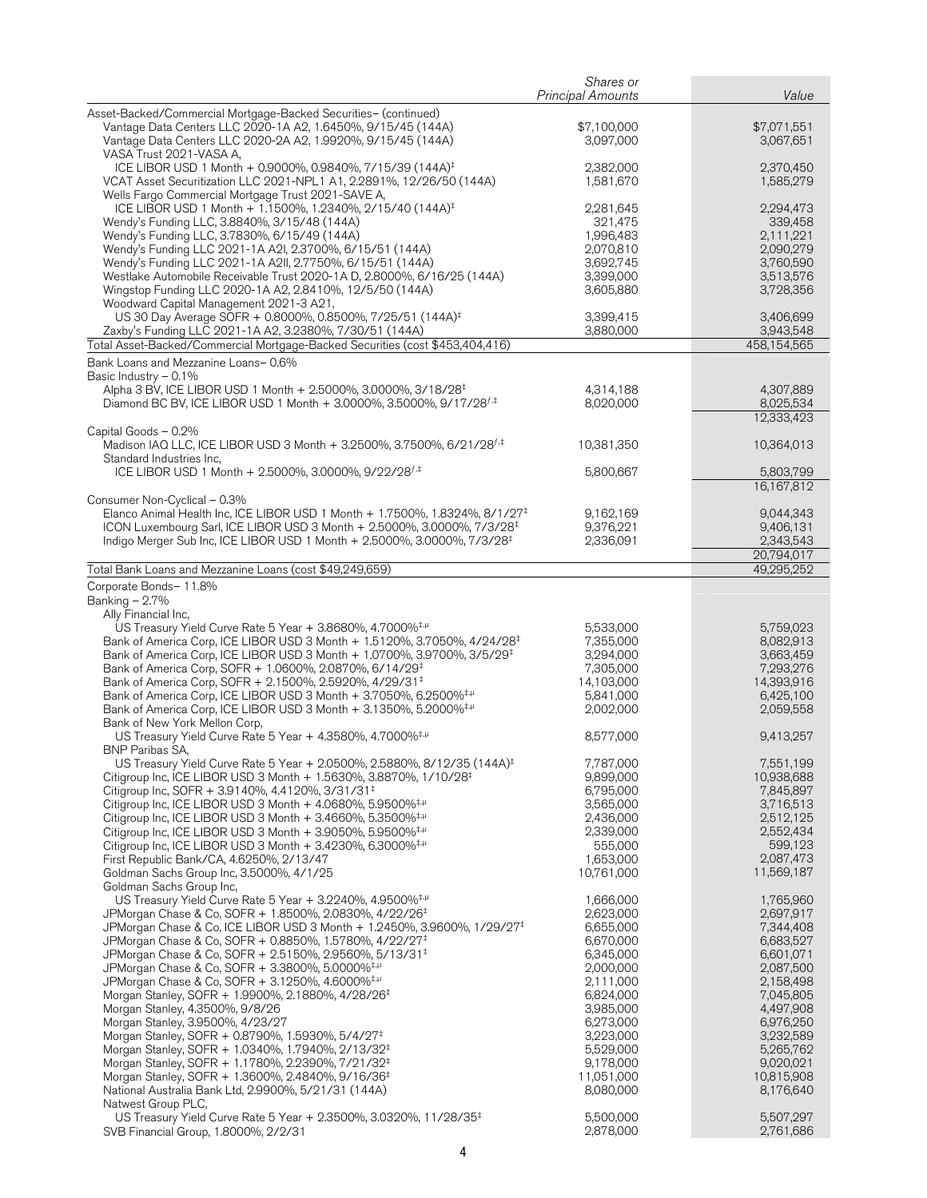|                                                                                                                                                                                                                                                                                                                                                                                                                                                                                                                                                                                                                                                                                                                                                                                                                                                                                                                                                                                                                            | Shares or<br><b>Principal Amounts</b>                                                                                                                                                            | Value                                                                                                                                                                                            |
|----------------------------------------------------------------------------------------------------------------------------------------------------------------------------------------------------------------------------------------------------------------------------------------------------------------------------------------------------------------------------------------------------------------------------------------------------------------------------------------------------------------------------------------------------------------------------------------------------------------------------------------------------------------------------------------------------------------------------------------------------------------------------------------------------------------------------------------------------------------------------------------------------------------------------------------------------------------------------------------------------------------------------|--------------------------------------------------------------------------------------------------------------------------------------------------------------------------------------------------|--------------------------------------------------------------------------------------------------------------------------------------------------------------------------------------------------|
| Asset-Backed/Commercial Mortgage-Backed Securities- (continued)                                                                                                                                                                                                                                                                                                                                                                                                                                                                                                                                                                                                                                                                                                                                                                                                                                                                                                                                                            |                                                                                                                                                                                                  |                                                                                                                                                                                                  |
| Vantage Data Centers LLC 2020-1A A2, 1.6450%, 9/15/45 (144A)<br>Vantage Data Centers LLC 2020-2A A2, 1.9920%, 9/15/45 (144A)<br>VASA Trust 2021-VASA A,                                                                                                                                                                                                                                                                                                                                                                                                                                                                                                                                                                                                                                                                                                                                                                                                                                                                    | \$7,100,000<br>3,097,000                                                                                                                                                                         | \$7,071,551<br>3,067,651                                                                                                                                                                         |
| ICE LIBOR USD 1 Month + 0.9000%, 0.9840%, 7/15/39 (144A) <sup>‡</sup><br>VCAT Asset Securitization LLC 2021-NPL1 A1, 2.2891%, 12/26/50 (144A)<br>Wells Fargo Commercial Mortgage Trust 2021-SAVE A,                                                                                                                                                                                                                                                                                                                                                                                                                                                                                                                                                                                                                                                                                                                                                                                                                        | 2,382,000<br>1,581,670                                                                                                                                                                           | 2,370,450<br>1,585,279                                                                                                                                                                           |
| ICE LIBOR USD 1 Month + 1.1500%, 1.2340%, 2/15/40 (144A) <sup>‡</sup><br>Wendy's Funding LLC, 3.8840%, 3/15/48 (144A)<br>Wendy's Funding LLC, 3.7830%, 6/15/49 (144A)<br>Wendy's Funding LLC 2021-1A A2I, 2.3700%, 6/15/51 (144A)                                                                                                                                                                                                                                                                                                                                                                                                                                                                                                                                                                                                                                                                                                                                                                                          | 2,281,645<br>321,475<br>1,996,483<br>2,070,810                                                                                                                                                   | 2,294,473<br>339,458<br>2,111,221<br>2,090,279                                                                                                                                                   |
| Wendy's Funding LLC 2021-1A A2II, 2.7750%, 6/15/51 (144A)<br>Westlake Automobile Receivable Trust 2020-1A D, 2.8000%, 6/16/25 (144A)<br>Wingstop Funding LLC 2020-1A A2, 2.8410%, 12/5/50 (144A)<br>Woodward Capital Management 2021-3 A21,                                                                                                                                                                                                                                                                                                                                                                                                                                                                                                                                                                                                                                                                                                                                                                                | 3,692,745<br>3,399,000<br>3,605,880                                                                                                                                                              | 3,760,590<br>3,513,576<br>3,728,356                                                                                                                                                              |
| US 30 Day Average SOFR + 0.8000%, 0.8500%, 7/25/51 (144A) <sup>‡</sup><br>Zaxby's Funding LLC 2021-1A A2, 3.2380%, 7/30/51 (144A)<br>Total Asset-Backed/Commercial Mortgage-Backed Securities (cost \$453,404,416)                                                                                                                                                                                                                                                                                                                                                                                                                                                                                                                                                                                                                                                                                                                                                                                                         | 3,399,415<br>3,880,000                                                                                                                                                                           | 3,406,699<br>3,943,548<br>458,154,565                                                                                                                                                            |
|                                                                                                                                                                                                                                                                                                                                                                                                                                                                                                                                                                                                                                                                                                                                                                                                                                                                                                                                                                                                                            |                                                                                                                                                                                                  |                                                                                                                                                                                                  |
| Bank Loans and Mezzanine Loans-0.6%<br>Basic Industry - 0.1%                                                                                                                                                                                                                                                                                                                                                                                                                                                                                                                                                                                                                                                                                                                                                                                                                                                                                                                                                               |                                                                                                                                                                                                  |                                                                                                                                                                                                  |
| Alpha 3 BV, ICE LIBOR USD 1 Month + 2.5000%, 3.0000%, 3/18/28 <sup>‡</sup><br>Diamond BC BV, ICE LIBOR USD 1 Month + 3.0000%, 3.5000%, 9/17/28 <sup>f,‡</sup>                                                                                                                                                                                                                                                                                                                                                                                                                                                                                                                                                                                                                                                                                                                                                                                                                                                              | 4,314,188<br>8,020,000                                                                                                                                                                           | 4,307,889<br>8,025,534<br>12,333,423                                                                                                                                                             |
| Capital Goods - 0.2%<br>Madison IAQ LLC, ICE LIBOR USD 3 Month + 3.2500%, 3.7500%, 6/21/28 <sup>f,‡</sup>                                                                                                                                                                                                                                                                                                                                                                                                                                                                                                                                                                                                                                                                                                                                                                                                                                                                                                                  | 10,381,350                                                                                                                                                                                       | 10,364,013                                                                                                                                                                                       |
| Standard Industries Inc,<br>ICE LIBOR USD 1 Month + 2.5000%, 3.0000%, 9/22/28 <sup>f,‡</sup>                                                                                                                                                                                                                                                                                                                                                                                                                                                                                                                                                                                                                                                                                                                                                                                                                                                                                                                               | 5,800,667                                                                                                                                                                                        | 5,803,799<br>16,167,812                                                                                                                                                                          |
| Consumer Non-Cyclical - 0.3%<br>Elanco Animal Health Inc, ICE LIBOR USD 1 Month + 1.7500%, 1.8324%, 8/1/27 <sup>‡</sup><br>ICON Luxembourg Sarl, ICE LIBOR USD 3 Month + 2.5000%, 3.0000%, 7/3/28 <sup>‡</sup><br>Indigo Merger Sub Inc, ICE LIBOR USD 1 Month + 2.5000%, 3.0000%, 7/3/28 <sup>‡</sup>                                                                                                                                                                                                                                                                                                                                                                                                                                                                                                                                                                                                                                                                                                                     | 9,162,169<br>9,376,221<br>2,336,091                                                                                                                                                              | 9,044,343<br>9,406,131<br>2,343,543                                                                                                                                                              |
|                                                                                                                                                                                                                                                                                                                                                                                                                                                                                                                                                                                                                                                                                                                                                                                                                                                                                                                                                                                                                            |                                                                                                                                                                                                  | 20,794,017                                                                                                                                                                                       |
| Total Bank Loans and Mezzanine Loans (cost \$49,249,659)                                                                                                                                                                                                                                                                                                                                                                                                                                                                                                                                                                                                                                                                                                                                                                                                                                                                                                                                                                   |                                                                                                                                                                                                  | 49,295,252                                                                                                                                                                                       |
| Corporate Bonds- 11.8%<br>Banking $-2.7%$<br>Ally Financial Inc,<br>US Treasury Yield Curve Rate 5 Year + 3.8680%, 4.7000% <sup>‡,µ</sup><br>Bank of America Corp, ICE LIBOR USD 3 Month + 1.5120%, 3.7050%, 4/24/28 <sup>‡</sup><br>Bank of America Corp, ICE LIBOR USD 3 Month + 1.0700%, 3.9700%, 3/5/29 <sup>‡</sup><br>Bank of America Corp, SOFR + 1.0600%, 2.0870%, 6/14/29 <sup>‡</sup><br>Bank of America Corp, SOFR + 2.1500%, 2.5920%, 4/29/31 <sup>‡</sup><br>Bank of America Corp, ICE LIBOR USD 3 Month + 3.7050%, 6.2500% <sup>‡,µ</sup><br>Bank of America Corp, ICE LIBOR USD 3 Month + 3.1350%, 5.2000% <sup>‡,µ</sup>                                                                                                                                                                                                                                                                                                                                                                                   | 5,533,000<br>7,355,000<br>3,294,000<br>7,305,000<br>14,103,000<br>5,841,000<br>2,002,000                                                                                                         | 5,759,023<br>8,082,913<br>3,663,459<br>7,293,276<br>14,393,916<br>6,425,100<br>2,059,558                                                                                                         |
| Bank of New York Mellon Corp,<br>US Treasury Yield Curve Rate 5 Year + 4.3580%, 4.7000% <sup>+,µ</sup><br>BNP Paribas SA,                                                                                                                                                                                                                                                                                                                                                                                                                                                                                                                                                                                                                                                                                                                                                                                                                                                                                                  | 8,577,000                                                                                                                                                                                        | 9,413,257                                                                                                                                                                                        |
| US Treasury Yield Curve Rate 5 Year + 2.0500%, 2.5880%, 8/12/35 (144A) <sup>‡</sup><br>Citigroup Inc, ICE LIBOR USD 3 Month + 1.5630%, 3.8870%, 1/10/28 <sup>‡</sup><br>Citigroup Inc, SOFR + 3.9140%, 4.4120%, 3/31/31 <sup><math>\pm</math></sup><br>Citigroup Inc, ICE LIBOR USD 3 Month $+$ 4.0680%, 5.9500% <sup>‡,<math>\mu</math></sup><br>Citigroup Inc, ICE LIBOR USD 3 Month $+$ 3.4660%, 5.3500% <sup>‡,<math>\mu</math></sup><br>Citigroup Inc, ICE LIBOR USD 3 Month + 3.9050%, 5.9500% <sup>‡,µ</sup><br>Citigroup Inc, ICE LIBOR USD 3 Month $+$ 3.4230%, 6.3000% <sup>‡,<math>\mu</math></sup><br>First Republic Bank/CA, 4.6250%, 2/13/47<br>Goldman Sachs Group Inc, 3.5000%, 4/1/25                                                                                                                                                                                                                                                                                                                     | 7,787,000<br>9,899,000<br>6,795,000<br>3,565,000<br>2,436,000<br>2,339,000<br>555,000<br>1,653,000<br>10,761,000                                                                                 | 7,551,199<br>10,938,688<br>7,845,897<br>3,716,513<br>2,512,125<br>2,552,434<br>599,123<br>2,087,473<br>11,569,187                                                                                |
| Goldman Sachs Group Inc,<br>US Treasury Yield Curve Rate 5 Year + 3.2240%, 4.9500% <sup>‡,<math>\mu</math></sup><br>JPMorgan Chase & Co, SOFR + 1.8500%, 2.0830%, 4/22/26 <sup>‡</sup><br>JPMorgan Chase & Co, ICE LIBOR USD 3 Month + 1.2450%, 3.9600%, 1/29/27 <sup>‡</sup><br>JPMorgan Chase & Co, SOFR + 0.8850%, 1.5780%, 4/22/27 <sup>‡</sup><br>JPMorgan Chase & Co, SOFR + 2.5150%, 2.9560%, 5/13/31 <sup>‡</sup><br>JPMorgan Chase & Co, SOFR + 3.3800%, 5.0000% <sup>‡,µ</sup><br>JPMorgan Chase & Co, SOFR + 3.1250%, 4.6000% <sup>‡,µ</sup><br>Morgan Stanley, SOFR + 1.9900%, 2.1880%, 4/28/26 <sup>‡</sup><br>Morgan Stanley, 4.3500%, 9/8/26<br>Morgan Stanley, 3.9500%, 4/23/27<br>Morgan Stanley, SOFR + 0.8790%, 1.5930%, 5/4/27 <sup>‡</sup><br>Morgan Stanley, SOFR + 1.0340%, 1.7940%, 2/13/32 <sup>‡</sup><br>Morgan Stanley, SOFR + 1.1780%, 2.2390%, 7/21/32 <sup>‡</sup><br>Morgan Stanley, SOFR + 1.3600%, 2.4840%, 9/16/36 <sup>‡</sup><br>National Australia Bank Ltd, 2.9900%, 5/21/31 (144A) | 1,666,000<br>2,623,000<br>6,655,000<br>6,670,000<br>6,345,000<br>2,000,000<br>2,111,000<br>6,824,000<br>3,985,000<br>6,273,000<br>3,223,000<br>5,529,000<br>9,178,000<br>11,051,000<br>8,080,000 | 1,765,960<br>2,697,917<br>7,344,408<br>6,683,527<br>6,601,071<br>2,087,500<br>2,158,498<br>7,045,805<br>4,497,908<br>6,976,250<br>3,232,589<br>5,265,762<br>9,020,021<br>10,815,908<br>8,176,640 |
| Natwest Group PLC,<br>US Treasury Yield Curve Rate 5 Year + 2.3500%, 3.0320%, 11/28/35 <sup>‡</sup><br>SVB Financial Group, 1.8000%, 2/2/31                                                                                                                                                                                                                                                                                                                                                                                                                                                                                                                                                                                                                                                                                                                                                                                                                                                                                | 5,500,000<br>2,878,000                                                                                                                                                                           | 5,507,297<br>2,761,686                                                                                                                                                                           |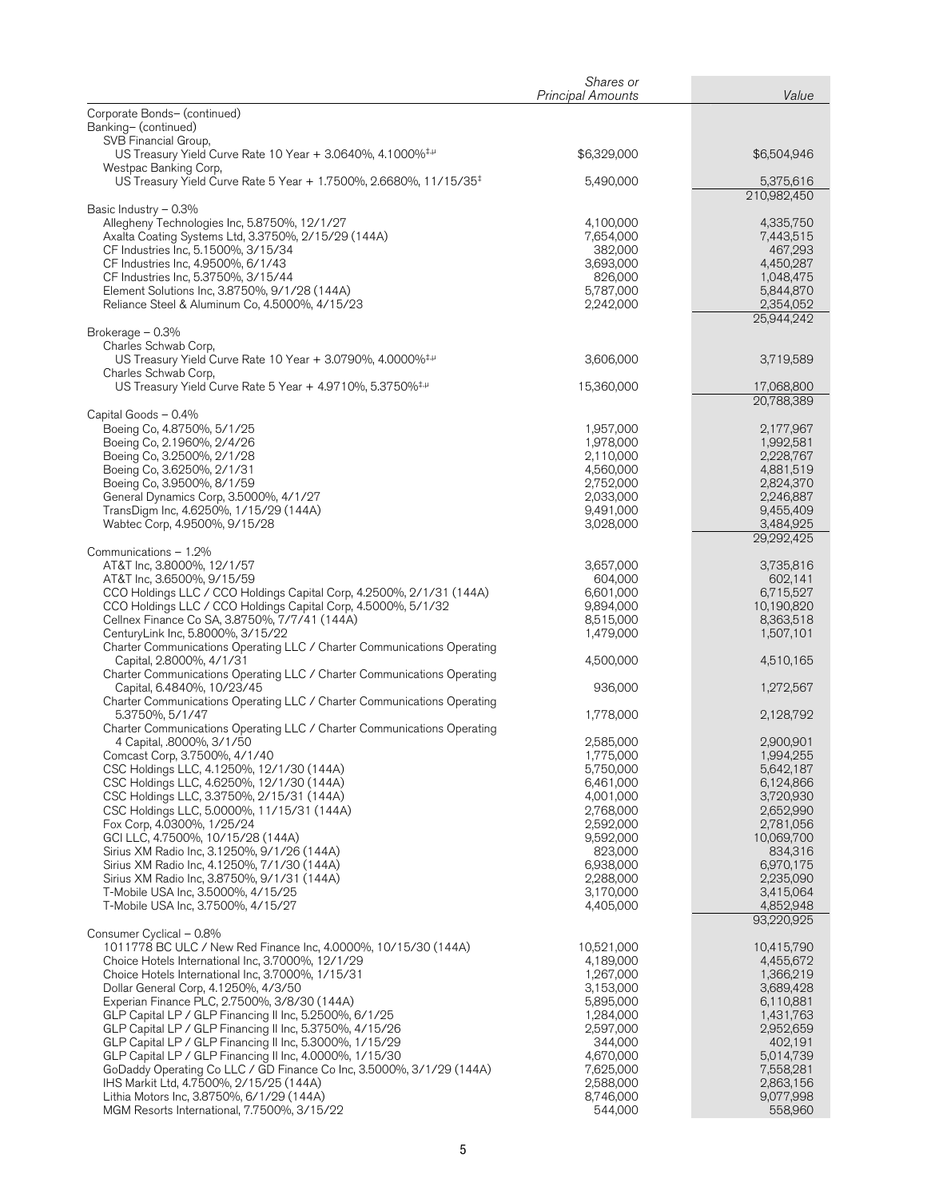|                                                                                                                                       | Shares or<br><b>Principal Amounts</b> | Value                   |
|---------------------------------------------------------------------------------------------------------------------------------------|---------------------------------------|-------------------------|
| Corporate Bonds- (continued)                                                                                                          |                                       |                         |
| Banking- (continued)                                                                                                                  |                                       |                         |
| SVB Financial Group,<br>US Treasury Yield Curve Rate 10 Year + 3.0640%, 4.1000% <sup>‡,µ</sup>                                        | \$6,329,000                           | \$6,504,946             |
| Westpac Banking Corp,<br>US Treasury Yield Curve Rate 5 Year + 1.7500%, 2.6680%, 11/15/35 <sup>‡</sup>                                | 5,490,000                             | 5,375,616               |
|                                                                                                                                       |                                       | 210,982,450             |
| Basic Industry - 0.3%                                                                                                                 |                                       | 4,335,750               |
| Allegheny Technologies Inc, 5.8750%, 12/1/27<br>Axalta Coating Systems Ltd, 3.3750%, 2/15/29 (144A)                                   | 4,100,000<br>7,654,000                | 7,443,515               |
| CF Industries Inc, 5.1500%, 3/15/34                                                                                                   | 382,000                               | 467,293                 |
| CF Industries Inc, 4.9500%, 6/1/43                                                                                                    | 3,693,000                             | 4,450,287               |
| CF Industries Inc, 5.3750%, 3/15/44                                                                                                   | 826,000                               | 1,048,475               |
| Element Solutions Inc, 3.8750%, 9/1/28 (144A)<br>Reliance Steel & Aluminum Co, 4.5000%, 4/15/23                                       | 5,787,000<br>2,242,000                | 5,844,870<br>2,354,052  |
|                                                                                                                                       |                                       | 25,944,242              |
| Brokerage - 0.3%                                                                                                                      |                                       |                         |
| Charles Schwab Corp,<br>US Treasury Yield Curve Rate 10 Year + 3.0790%, 4.0000% <sup>‡,µ</sup>                                        | 3,606,000                             | 3,719,589               |
| Charles Schwab Corp,                                                                                                                  |                                       |                         |
| US Treasury Yield Curve Rate 5 Year + 4.9710%, 5.3750% <sup>‡,µ</sup>                                                                 | 15,360,000                            | 17,068,800              |
| Capital Goods - 0.4%                                                                                                                  |                                       | 20,788,389              |
| Boeing Co, 4.8750%, 5/1/25                                                                                                            | 1,957,000                             | 2,177,967               |
| Boeing Co, 2.1960%, 2/4/26                                                                                                            | 1,978,000                             | 1,992,581               |
| Boeing Co, 3.2500%, 2/1/28                                                                                                            | 2,110,000                             | 2,228,767               |
| Boeing Co, 3.6250%, 2/1/31<br>Boeing Co, 3.9500%, 8/1/59                                                                              | 4,560,000<br>2,752,000                | 4,881,519<br>2,824,370  |
| General Dynamics Corp, 3.5000%, 4/1/27                                                                                                | 2,033,000                             | 2,246,887               |
| TransDigm Inc, 4.6250%, 1/15/29 (144A)                                                                                                | 9,491,000                             | 9,455,409               |
| Wabtec Corp, 4.9500%, 9/15/28                                                                                                         | 3,028,000                             | 3,484,925<br>29,292,425 |
| Communications - 1.2%                                                                                                                 |                                       |                         |
| AT&T Inc, 3.8000%, 12/1/57                                                                                                            | 3,657,000                             | 3,735,816               |
| AT&T Inc, 3.6500%, 9/15/59                                                                                                            | 604,000                               | 602,141                 |
| CCO Holdings LLC / CCO Holdings Capital Corp, 4.2500%, 2/1/31 (144A)<br>CCO Holdings LLC / CCO Holdings Capital Corp, 4.5000%, 5/1/32 | 6,601,000<br>9,894,000                | 6,715,527<br>10,190,820 |
| Cellnex Finance Co SA, 3.8750%, 7/7/41 (144A)                                                                                         | 8,515,000                             | 8,363,518               |
| CenturyLink Inc, 5.8000%, 3/15/22                                                                                                     | 1,479,000                             | 1,507,101               |
| Charter Communications Operating LLC / Charter Communications Operating                                                               |                                       |                         |
| Capital, 2.8000%, 4/1/31<br>Charter Communications Operating LLC / Charter Communications Operating                                   | 4,500,000                             | 4,510,165               |
| Capital, 6.4840%, 10/23/45                                                                                                            | 936,000                               | 1,272,567               |
| Charter Communications Operating LLC / Charter Communications Operating                                                               |                                       |                         |
| 5.3750%, 5/1/47<br>Charter Communications Operating LLC / Charter Communications Operating                                            | 1,778,000                             | 2,128,792               |
| 4 Capital, .8000%, 3/1/50                                                                                                             | 2,585,000                             | 2,900,901               |
| Comcast Corp, 3.7500%, 4/1/40                                                                                                         | 1,775,000                             | 1,994,255               |
| CSC Holdings LLC, 4.1250%, 12/1/30 (144A)                                                                                             | 5,750,000                             | 5,642,187               |
| CSC Holdings LLC, 4.6250%, 12/1/30 (144A)<br>CSC Holdings LLC, 3.3750%, 2/15/31 (144A)                                                | 6,461,000<br>4,001,000                | 6,124,866<br>3,720,930  |
| CSC Holdings LLC, 5.0000%, 11/15/31 (144A)                                                                                            | 2,768,000                             | 2,652,990               |
| Fox Corp, 4.0300%, 1/25/24                                                                                                            | 2,592,000                             | 2,781,056               |
| GCI LLC, 4.7500%, 10/15/28 (144A)                                                                                                     | 9,592,000                             | 10,069,700              |
| Sirius XM Radio Inc, 3.1250%, 9/1/26 (144A)<br>Sirius XM Radio Inc, 4.1250%, 7/1/30 (144A)                                            | 823,000<br>6,938,000                  | 834,316<br>6,970,175    |
| Sirius XM Radio Inc, 3.8750%, 9/1/31 (144A)                                                                                           | 2,288,000                             | 2,235,090               |
| T-Mobile USA Inc, 3.5000%, 4/15/25                                                                                                    | 3,170,000                             | 3,415,064               |
| T-Mobile USA Inc, 3.7500%, 4/15/27                                                                                                    | 4,405,000                             | 4,852,948<br>93,220,925 |
| Consumer Cyclical - 0.8%                                                                                                              |                                       |                         |
| 1011778 BC ULC / New Red Finance Inc, 4.0000%, 10/15/30 (144A)                                                                        | 10,521,000                            | 10,415,790              |
| Choice Hotels International Inc, 3.7000%, 12/1/29                                                                                     | 4,189,000                             | 4,455,672               |
| Choice Hotels International Inc, 3.7000%, 1/15/31<br>Dollar General Corp, 4.1250%, 4/3/50                                             | 1,267,000<br>3,153,000                | 1,366,219<br>3,689,428  |
| Experian Finance PLC, 2.7500%, 3/8/30 (144A)                                                                                          | 5,895,000                             | 6,110,881               |
| GLP Capital LP / GLP Financing II Inc, 5.2500%, 6/1/25                                                                                | 1,284,000                             | 1,431,763               |
| GLP Capital LP / GLP Financing II Inc, 5.3750%, 4/15/26                                                                               | 2,597,000                             | 2,952,659               |
| GLP Capital LP / GLP Financing II Inc, 5.3000%, 1/15/29<br>GLP Capital LP / GLP Financing II Inc, 4.0000%, 1/15/30                    | 344,000<br>4,670,000                  | 402,191<br>5,014,739    |
| GoDaddy Operating Co LLC / GD Finance Co Inc, 3.5000%, 3/1/29 (144A)                                                                  | 7,625,000                             | 7,558,281               |
| IHS Markit Ltd, 4.7500%, 2/15/25 (144A)                                                                                               | 2,588,000                             | 2,863,156               |
| Lithia Motors Inc, 3.8750%, 6/1/29 (144A)                                                                                             | 8,746,000                             | 9,077,998               |
| MGM Resorts International, 7.7500%, 3/15/22                                                                                           | 544,000                               | 558,960                 |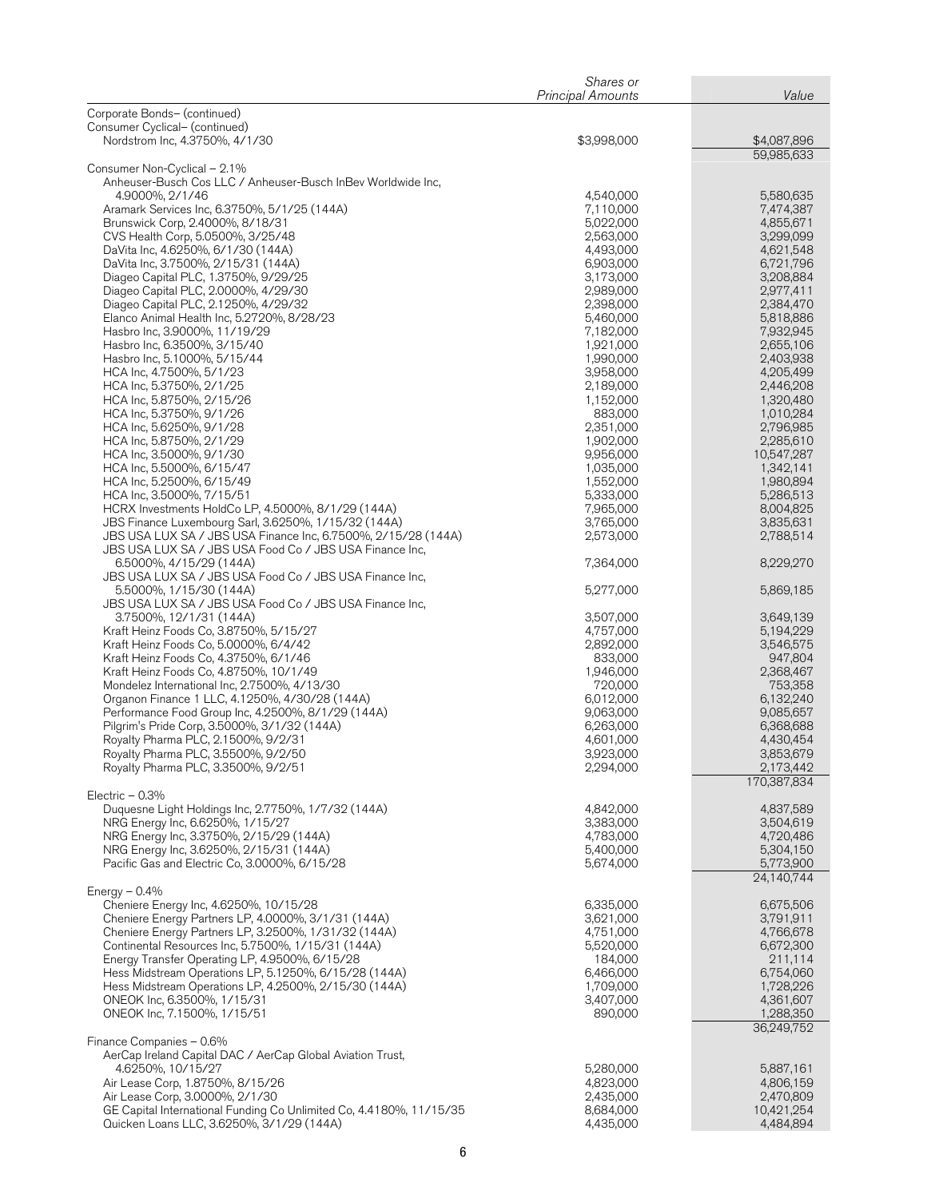|                                                                                                                          | Shares or                |                         |
|--------------------------------------------------------------------------------------------------------------------------|--------------------------|-------------------------|
|                                                                                                                          | <b>Principal Amounts</b> | Value                   |
| Corporate Bonds- (continued)<br>Consumer Cyclical- (continued)                                                           |                          |                         |
| Nordstrom Inc, 4.3750%, 4/1/30                                                                                           | \$3,998,000              | \$4,087,896             |
|                                                                                                                          |                          | 59,985,633              |
| Consumer Non-Cyclical - 2.1%                                                                                             |                          |                         |
| Anheuser-Busch Cos LLC / Anheuser-Busch InBev Worldwide Inc.<br>4.9000%, 2/1/46                                          | 4,540,000                | 5,580,635               |
| Aramark Services Inc, 6.3750%, 5/1/25 (144A)                                                                             | 7,110,000                | 7,474,387               |
| Brunswick Corp, 2.4000%, 8/18/31                                                                                         | 5,022,000                | 4,855,671               |
| CVS Health Corp, 5.0500%, 3/25/48                                                                                        | 2,563,000                | 3,299,099               |
| DaVita Inc, 4.6250%, 6/1/30 (144A)<br>DaVita Inc, 3.7500%, 2/15/31 (144A)                                                | 4,493,000<br>6,903,000   | 4,621,548<br>6,721,796  |
| Diageo Capital PLC, 1.3750%, 9/29/25                                                                                     | 3,173,000                | 3,208,884               |
| Diageo Capital PLC, 2.0000%, 4/29/30                                                                                     | 2,989,000                | 2,977,411               |
| Diageo Capital PLC, 2.1250%, 4/29/32                                                                                     | 2,398,000                | 2,384,470               |
| Elanco Animal Health Inc, 5.2720%, 8/28/23<br>Hasbro Inc, 3.9000%, 11/19/29                                              | 5,460,000<br>7,182,000   | 5,818,886<br>7,932,945  |
| Hasbro Inc, 6.3500%, 3/15/40                                                                                             | 1,921,000                | 2,655,106               |
| Hasbro Inc, 5.1000%, 5/15/44                                                                                             | 1,990,000                | 2,403,938               |
| HCA Inc, 4.7500%, 5/1/23                                                                                                 | 3,958,000                | 4,205,499               |
| HCA Inc, 5.3750%, 2/1/25<br>HCA Inc, 5.8750%, 2/15/26                                                                    | 2,189,000<br>1,152,000   | 2,446,208<br>1,320,480  |
| HCA Inc, 5.3750%, 9/1/26                                                                                                 | 883,000                  | 1,010,284               |
| HCA Inc, 5.6250%, 9/1/28                                                                                                 | 2,351,000                | 2,796,985               |
| HCA Inc, 5.8750%, 2/1/29                                                                                                 | 1,902,000                | 2,285,610               |
| HCA Inc, 3.5000%, 9/1/30                                                                                                 | 9,956,000                | 10,547,287              |
| HCA Inc, 5.5000%, 6/15/47<br>HCA Inc, 5.2500%, 6/15/49                                                                   | 1,035,000<br>1,552,000   | 1,342,141<br>1,980,894  |
| HCA Inc, 3.5000%, 7/15/51                                                                                                | 5,333,000                | 5,286,513               |
| HCRX Investments HoldCo LP, 4.5000%, 8/1/29 (144A)                                                                       | 7,965,000                | 8,004,825               |
| JBS Finance Luxembourg Sarl, 3.6250%, 1/15/32 (144A)                                                                     | 3,765,000                | 3,835,631               |
| JBS USA LUX SA / JBS USA Finance Inc, 6.7500%, 2/15/28 (144A)<br>JBS USA LUX SA / JBS USA Food Co / JBS USA Finance Inc, | 2,573,000                | 2,788,514               |
| 6.5000%, 4/15/29 (144A)                                                                                                  | 7,364,000                | 8,229,270               |
| JBS USA LUX SA / JBS USA Food Co / JBS USA Finance Inc,                                                                  |                          |                         |
| 5.5000%, 1/15/30 (144A)                                                                                                  | 5,277,000                | 5,869,185               |
| JBS USA LUX SA / JBS USA Food Co / JBS USA Finance Inc,<br>3.7500%, 12/1/31 (144A)                                       | 3,507,000                | 3,649,139               |
| Kraft Heinz Foods Co, 3.8750%, 5/15/27                                                                                   | 4,757,000                | 5,194,229               |
| Kraft Heinz Foods Co, 5.0000%, 6/4/42                                                                                    | 2,892,000                | 3,546,575               |
| Kraft Heinz Foods Co, 4.3750%, 6/1/46                                                                                    | 833,000                  | 947,804                 |
| Kraft Heinz Foods Co, 4.8750%, 10/1/49<br>Mondelez International Inc, 2.7500%, 4/13/30                                   | 1,946,000<br>720,000     | 2,368,467<br>753,358    |
| Organon Finance 1 LLC, 4.1250%, 4/30/28 (144A)                                                                           | 6,012,000                | 6,132,240               |
| Performance Food Group Inc, 4.2500%, 8/1/29 (144A)                                                                       | 9,063,000                | 9,085,657               |
| Pilgrim's Pride Corp, 3.5000%, 3/1/32 (144A)                                                                             | 6,263,000                | 6,368,688               |
| Royalty Pharma PLC, 2.1500%, 9/2/31<br>Royalty Pharma PLC, 3.5500%, 9/2/50                                               | 4,601,000<br>3,923,000   | 4,430,454<br>3,853,679  |
| Royalty Pharma PLC, 3.3500%, 9/2/51                                                                                      | 2,294,000                | 2,173,442               |
|                                                                                                                          |                          | 170,387,834             |
| Electric $-0.3%$                                                                                                         |                          |                         |
| Duquesne Light Holdings Inc, 2.7750%, 1/7/32 (144A)<br>NRG Energy Inc, 6.6250%, 1/15/27                                  | 4,842,000<br>3,383,000   | 4,837,589               |
| NRG Energy Inc, 3.3750%, 2/15/29 (144A)                                                                                  | 4,783,000                | 3,504,619<br>4,720,486  |
| NRG Energy Inc, 3.6250%, 2/15/31 (144A)                                                                                  | 5,400,000                | 5,304,150               |
| Pacific Gas and Electric Co, 3.0000%, 6/15/28                                                                            | 5,674,000                | 5,773,900               |
|                                                                                                                          |                          | 24.140.744              |
| Energy $-0.4\%$<br>Cheniere Energy Inc, 4.6250%, 10/15/28                                                                | 6,335,000                | 6,675,506               |
| Cheniere Energy Partners LP, 4.0000%, 3/1/31 (144A)                                                                      | 3,621,000                | 3,791,911               |
| Cheniere Energy Partners LP, 3.2500%, 1/31/32 (144A)                                                                     | 4,751,000                | 4,766,678               |
| Continental Resources Inc, 5.7500%, 1/15/31 (144A)                                                                       | 5,520,000                | 6,672,300               |
| Energy Transfer Operating LP, 4.9500%, 6/15/28<br>Hess Midstream Operations LP, 5.1250%, 6/15/28 (144A)                  | 184,000<br>6,466,000     | 211,114<br>6,754,060    |
| Hess Midstream Operations LP, 4.2500%, 2/15/30 (144A)                                                                    | 1,709,000                | 1,728,226               |
| ONEOK Inc, 6.3500%, 1/15/31                                                                                              | 3,407,000                | 4,361,607               |
| ONEOK Inc, 7.1500%, 1/15/51                                                                                              | 890,000                  | 1,288,350               |
| Finance Companies - 0.6%                                                                                                 |                          | 36,249,752              |
| AerCap Ireland Capital DAC / AerCap Global Aviation Trust,                                                               |                          |                         |
| 4.6250%, 10/15/27                                                                                                        | 5,280,000                | 5,887,161               |
| Air Lease Corp, 1.8750%, 8/15/26                                                                                         | 4,823,000                | 4,806,159               |
| Air Lease Corp, 3.0000%, 2/1/30<br>GE Capital International Funding Co Unlimited Co, 4.4180%, 11/15/35                   | 2,435,000<br>8,684,000   | 2,470,809<br>10,421,254 |
| Quicken Loans LLC, 3.6250%, 3/1/29 (144A)                                                                                | 4,435,000                | 4,484,894               |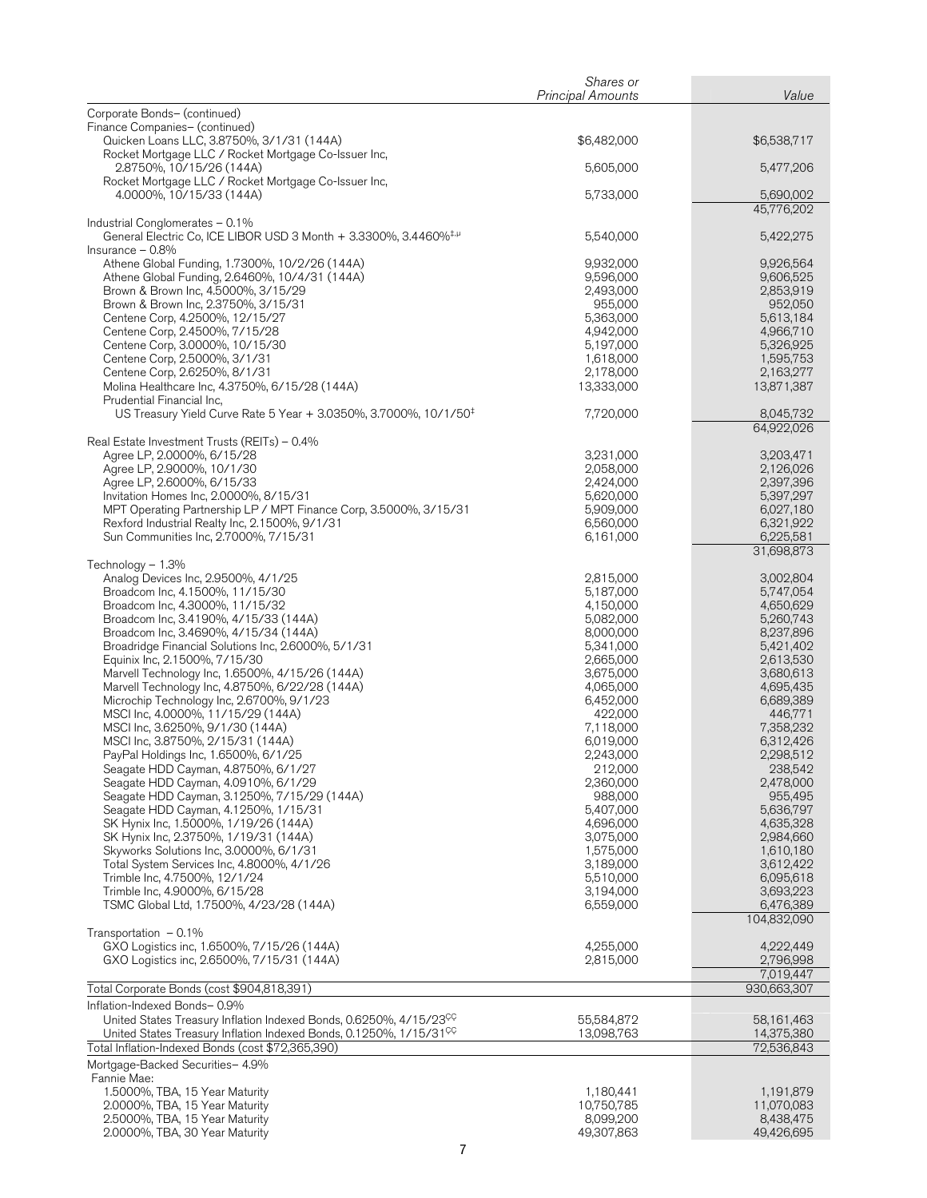|                                                                                                                                     | Shares or                |                          |
|-------------------------------------------------------------------------------------------------------------------------------------|--------------------------|--------------------------|
| Corporate Bonds- (continued)                                                                                                        | <b>Principal Amounts</b> | Value                    |
| Finance Companies- (continued)                                                                                                      |                          |                          |
| Quicken Loans LLC, 3.8750%, 3/1/31 (144A)<br>Rocket Mortgage LLC / Rocket Mortgage Co-Issuer Inc,                                   | \$6,482,000              | \$6,538,717              |
| 2.8750%, 10/15/26 (144A)                                                                                                            | 5,605,000                | 5,477,206                |
| Rocket Mortgage LLC / Rocket Mortgage Co-Issuer Inc,                                                                                |                          |                          |
| 4.0000%, 10/15/33 (144A)                                                                                                            | 5,733,000                | 5,690,002<br>45,776,202  |
| Industrial Conglomerates - 0.1%                                                                                                     |                          |                          |
| General Electric Co, ICE LIBOR USD 3 Month + 3.3300%, 3.4460% <sup>‡,µ</sup><br>Insurance $-0.8%$                                   | 5,540,000                | 5,422,275                |
| Athene Global Funding, 1.7300%, 10/2/26 (144A)                                                                                      | 9,932,000                | 9,926,564                |
| Athene Global Funding, 2.6460%, 10/4/31 (144A)<br>Brown & Brown Inc, 4.5000%, 3/15/29                                               | 9,596,000<br>2,493,000   | 9,606,525<br>2,853,919   |
| Brown & Brown Inc, 2.3750%, 3/15/31                                                                                                 | 955,000                  | 952,050                  |
| Centene Corp, 4.2500%, 12/15/27                                                                                                     | 5,363,000                | 5,613,184                |
| Centene Corp, 2.4500%, 7/15/28<br>Centene Corp, 3.0000%, 10/15/30                                                                   | 4,942,000<br>5,197,000   | 4,966,710<br>5,326,925   |
| Centene Corp, 2.5000%, 3/1/31                                                                                                       | 1,618,000                | 1,595,753                |
| Centene Corp, 2.6250%, 8/1/31                                                                                                       | 2,178,000                | 2,163,277                |
| Molina Healthcare Inc, 4.3750%, 6/15/28 (144A)<br>Prudential Financial Inc,                                                         | 13,333,000               | 13,871,387               |
| US Treasury Yield Curve Rate 5 Year + 3.0350%, 3.7000%, 10/1/50 <sup>‡</sup>                                                        | 7,720,000                | 8,045,732                |
|                                                                                                                                     |                          | 64,922,026               |
| Real Estate Investment Trusts (REITs) – 0.4%<br>Agree LP, 2.0000%, 6/15/28                                                          | 3,231,000                | 3,203,471                |
| Agree LP, 2.9000%, 10/1/30                                                                                                          | 2,058,000                | 2,126,026                |
| Agree LP, 2.6000%, 6/15/33<br>Invitation Homes Inc, 2.0000%, 8/15/31                                                                | 2,424,000<br>5,620,000   | 2,397,396<br>5,397,297   |
| MPT Operating Partnership LP / MPT Finance Corp, 3.5000%, 3/15/31                                                                   | 5,909,000                | 6,027,180                |
| Rexford Industrial Realty Inc, 2.1500%, 9/1/31                                                                                      | 6,560,000                | 6,321,922                |
| Sun Communities Inc, 2.7000%, 7/15/31                                                                                               | 6,161,000                | 6,225,581<br>31,698,873  |
| Technology $-1.3\%$                                                                                                                 |                          |                          |
| Analog Devices Inc, 2.9500%, 4/1/25<br>Broadcom Inc, 4.1500%, 11/15/30                                                              | 2,815,000<br>5,187,000   | 3,002,804<br>5,747,054   |
| Broadcom Inc, 4.3000%, 11/15/32                                                                                                     | 4,150,000                | 4,650,629                |
| Broadcom Inc, 3.4190%, 4/15/33 (144A)                                                                                               | 5,082,000                | 5,260,743                |
| Broadcom Inc, 3.4690%, 4/15/34 (144A)<br>Broadridge Financial Solutions Inc, 2.6000%, 5/1/31                                        | 8,000,000<br>5,341,000   | 8,237,896<br>5,421,402   |
| Equinix Inc, 2.1500%, 7/15/30                                                                                                       | 2,665,000                | 2,613,530                |
| Marvell Technology Inc, 1.6500%, 4/15/26 (144A)                                                                                     | 3,675,000                | 3,680,613                |
| Marvell Technology Inc, 4.8750%, 6/22/28 (144A)<br>Microchip Technology Inc, 2.6700%, 9/1/23                                        | 4,065,000<br>6,452,000   | 4,695,435<br>6,689,389   |
| MSCI Inc, 4.0000%, 11/15/29 (144A)                                                                                                  | 422,000                  | 446,771                  |
| MSCI Inc, 3.6250%, 9/1/30 (144A)<br>MSCI Inc, 3.8750%, 2/15/31 (144A)                                                               | 7,118,000<br>6,019,000   | 7,358,232<br>6,312,426   |
| PayPal Holdings Inc, 1.6500%, 6/1/25                                                                                                | 2,243,000                | 2,298,512                |
| Seagate HDD Cayman, 4.8750%, 6/1/27                                                                                                 | 212,000                  | 238,542                  |
| Seagate HDD Cayman, 4.0910%, 6/1/29<br>Seagate HDD Cayman, 3.1250%, 7/15/29 (144A)                                                  | 2,360,000<br>988,000     | 2,478,000<br>955,495     |
| Seagate HDD Cayman, 4.1250%, 1/15/31                                                                                                | 5,407,000                | 5,636,797                |
| SK Hynix Inc, 1.5000%, 1/19/26 (144A)                                                                                               | 4,696,000                | 4,635,328                |
| SK Hynix Inc, 2.3750%, 1/19/31 (144A)<br>Skyworks Solutions Inc, 3.0000%, 6/1/31                                                    | 3,075,000<br>1,575,000   | 2,984,660<br>1,610,180   |
| Total System Services Inc, 4.8000%, 4/1/26                                                                                          | 3,189,000                | 3,612,422                |
| Trimble Inc, 4.7500%, 12/1/24                                                                                                       | 5,510,000                | 6,095,618                |
| Trimble Inc, 4.9000%, 6/15/28<br>TSMC Global Ltd, 1.7500%, 4/23/28 (144A)                                                           | 3,194,000<br>6,559,000   | 3,693,223<br>6,476,389   |
|                                                                                                                                     |                          | 104,832,090              |
| Transportation $-0.1\%$<br>GXO Logistics inc, 1.6500%, 7/15/26 (144A)                                                               | 4,255,000                | 4,222,449                |
| GXO Logistics inc, 2.6500%, 7/15/31 (144A)                                                                                          | 2,815,000                | 2,796,998                |
| Total Corporate Bonds (cost \$904,818,391)                                                                                          |                          | 7,019,447<br>930,663,307 |
| Inflation-Indexed Bonds-0.9%                                                                                                        |                          |                          |
| United States Treasury Inflation Indexed Bonds, 0.6250%, 4/15/23 <sup>CC</sup>                                                      | 55,584,872               | 58,161,463               |
| United States Treasury Inflation Indexed Bonds, 0.1250%, 1/15/31 <sup>CC</sup><br>Total Inflation-Indexed Bonds (cost \$72,365,390) | 13,098,763               | 14,375,380<br>72,536,843 |
| Mortgage-Backed Securities- 4.9%                                                                                                    |                          |                          |
| Fannie Mae:                                                                                                                         |                          |                          |
| 1.5000%, TBA, 15 Year Maturity<br>2.0000%, TBA, 15 Year Maturity                                                                    | 1,180,441<br>10,750,785  | 1,191,879<br>11,070,083  |
| 2.5000%, TBA, 15 Year Maturity                                                                                                      | 8,099,200                | 8,438,475                |
| 2.0000%, TBA, 30 Year Maturity                                                                                                      | 49,307,863               | 49,426,695               |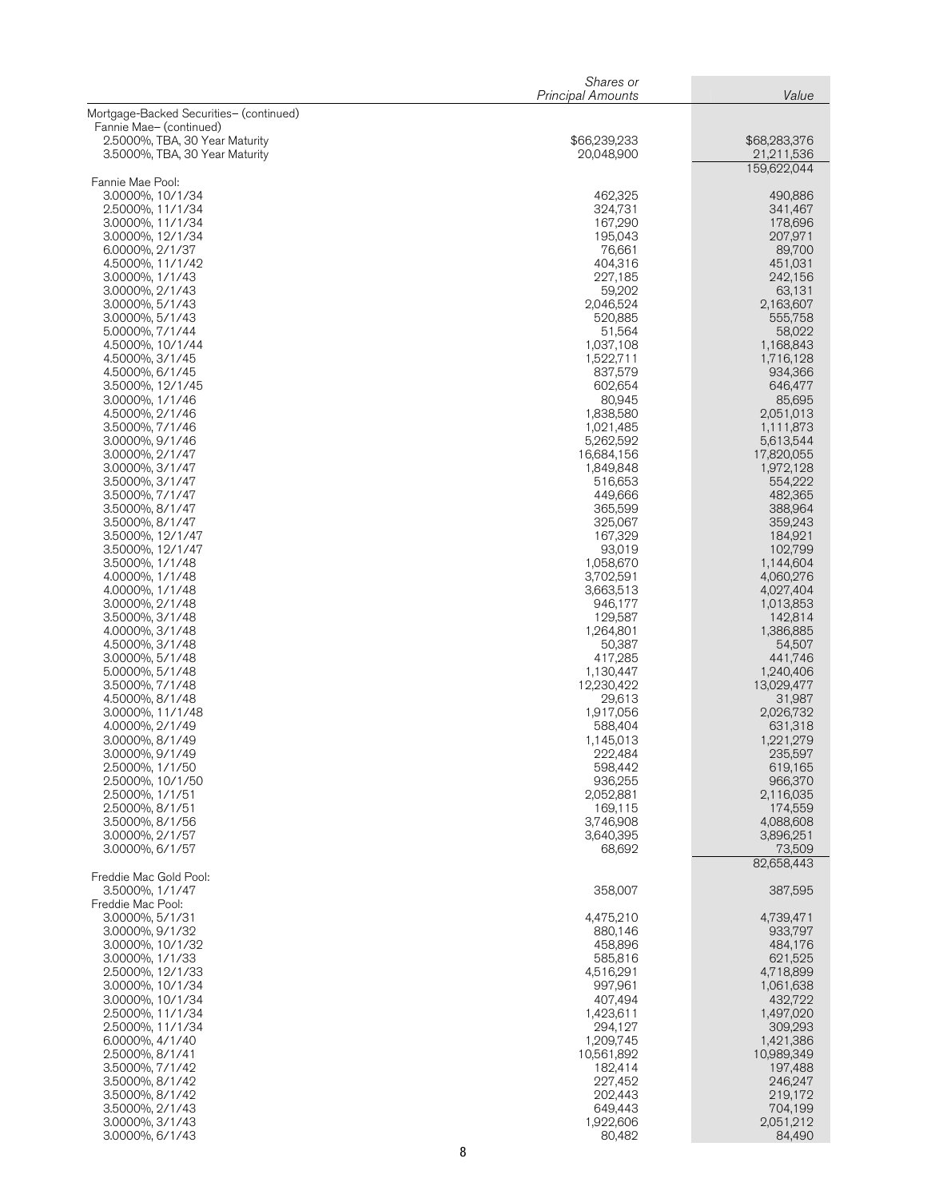|                                                                  | Shares or<br><b>Principal Amounts</b> | Value                      |
|------------------------------------------------------------------|---------------------------------------|----------------------------|
| Mortgage-Backed Securities- (continued)                          |                                       |                            |
| Fannie Mae- (continued)                                          |                                       |                            |
| 2.5000%, TBA, 30 Year Maturity<br>3.5000%, TBA, 30 Year Maturity | \$66,239,233<br>20,048,900            | \$68,283,376<br>21,211,536 |
|                                                                  |                                       | 159,622,044                |
| Fannie Mae Pool:                                                 |                                       |                            |
| 3.0000%, 10/1/34<br>2.5000%, 11/1/34                             | 462,325<br>324,731                    | 490,886<br>341,467         |
| 3.0000%, 11/1/34                                                 | 167,290                               | 178,696                    |
| 3.0000%, 12/1/34                                                 | 195,043                               | 207,971                    |
| 6.0000%, 2/1/37<br>4.5000%, 11/1/42                              | 76,661<br>404,316                     | 89,700<br>451,031          |
| 3.0000%, 1/1/43                                                  | 227,185                               | 242,156                    |
| 3.0000%, 2/1/43<br>3.0000%, 5/1/43                               | 59,202<br>2,046,524                   | 63,131<br>2,163,607        |
| 3.0000%, 5/1/43                                                  | 520,885                               | 555,758                    |
| 5.0000%, 7/1/44                                                  | 51,564                                | 58,022                     |
| 4.5000%, 10/1/44<br>4.5000%, 3/1/45                              | 1,037,108<br>1,522,711                | 1,168,843<br>1,716,128     |
| 4.5000%, 6/1/45                                                  | 837,579                               | 934,366                    |
| 3.5000%, 12/1/45                                                 | 602,654                               | 646,477                    |
| 3.0000%, 1/1/46<br>4.5000%, 2/1/46                               | 80,945<br>1,838,580                   | 85,695<br>2,051,013        |
| 3.5000%, 7/1/46                                                  | 1,021,485                             | 1,111,873                  |
| 3.0000%, 9/1/46                                                  | 5,262,592                             | 5,613,544                  |
| 3.0000%, 2/1/47<br>3.0000%, 3/1/47                               | 16,684,156<br>1,849,848               | 17,820,055<br>1,972,128    |
| 3.5000%, 3/1/47                                                  | 516,653                               | 554,222                    |
| 3.5000%, 7/1/47                                                  | 449,666                               | 482,365                    |
| 3.5000%, 8/1/47<br>3.5000%, 8/1/47                               | 365,599<br>325,067                    | 388,964<br>359,243         |
| 3.5000%, 12/1/47                                                 | 167,329                               | 184,921                    |
| 3.5000%, 12/1/47                                                 | 93,019                                | 102,799                    |
| 3.5000%, 1/1/48<br>4.0000%, 1/1/48                               | 1,058,670<br>3,702,591                | 1,144,604<br>4,060,276     |
| 4.0000%, 1/1/48                                                  | 3,663,513                             | 4,027,404                  |
| 3.0000%, 2/1/48                                                  | 946,177                               | 1,013,853                  |
| 3.5000%, 3/1/48<br>4.0000%, 3/1/48                               | 129,587<br>1,264,801                  | 142,814<br>1,386,885       |
| 4.5000%, 3/1/48                                                  | 50,387                                | 54,507                     |
| 3.0000%, 5/1/48<br>5.0000%, 5/1/48                               | 417.285<br>1,130,447                  | 441,746<br>1,240,406       |
| 3.5000%, 7/1/48                                                  | 12,230,422                            | 13,029,477                 |
| 4.5000%, 8/1/48                                                  | 29,613                                | 31,987                     |
| 3.0000%, 11/1/48<br>4.0000%, 2/1/49                              | 1,917,056<br>588,404                  | 2,026,732<br>631,318       |
| 3.0000%, 8/1/49                                                  | 1,145,013                             | 1,221,279                  |
| 3.0000%, 9/1/49                                                  | 222,484                               | 235,597                    |
| 2.5000%, 1/1/50<br>2.5000%, 10/1/50                              | 598,442<br>936,255                    | 619,165<br>966,370         |
| 2.5000%, 1/1/51                                                  | 2,052,881                             | 2,116,035                  |
| 2.5000%, 8/1/51                                                  | 169,115                               | 174,559                    |
| 3.5000%, 8/1/56<br>3.0000%, 2/1/57                               | 3,746,908<br>3,640,395                | 4,088,608<br>3,896,251     |
| 3.0000%, 6/1/57                                                  | 68,692                                | 73,509                     |
|                                                                  |                                       | 82,658,443                 |
| Freddie Mac Gold Pool:<br>3.5000%, 1/1/47                        | 358,007                               | 387,595                    |
| Freddie Mac Pool:                                                |                                       |                            |
| 3.0000%, 5/1/31                                                  | 4,475,210                             | 4,739,471                  |
| 3.0000%, 9/1/32<br>3.0000%, 10/1/32                              | 880,146<br>458,896                    | 933,797<br>484,176         |
| 3.0000%, 1/1/33                                                  | 585,816                               | 621,525                    |
| 2.5000%, 12/1/33                                                 | 4,516,291<br>997,961                  | 4,718,899                  |
| 3.0000%, 10/1/34<br>3.0000%, 10/1/34                             | 407,494                               | 1,061,638<br>432,722       |
| 2.5000%, 11/1/34                                                 | 1,423,611                             | 1,497,020                  |
| 2.5000%, 11/1/34<br>6.0000%, 4/1/40                              | 294,127<br>1,209,745                  | 309,293<br>1,421,386       |
| 2.5000%, 8/1/41                                                  | 10,561,892                            | 10,989,349                 |
| 3.5000%, 7/1/42                                                  | 182,414                               | 197,488                    |
| 3.5000%, 8/1/42<br>3.5000%, 8/1/42                               | 227,452<br>202,443                    | 246,247<br>219,172         |
| 3.5000%, 2/1/43                                                  | 649,443                               | 704,199                    |
| 3.0000%, 3/1/43                                                  | 1,922,606                             | 2,051,212                  |
| 3.0000%, 6/1/43                                                  | 80,482                                | 84,490                     |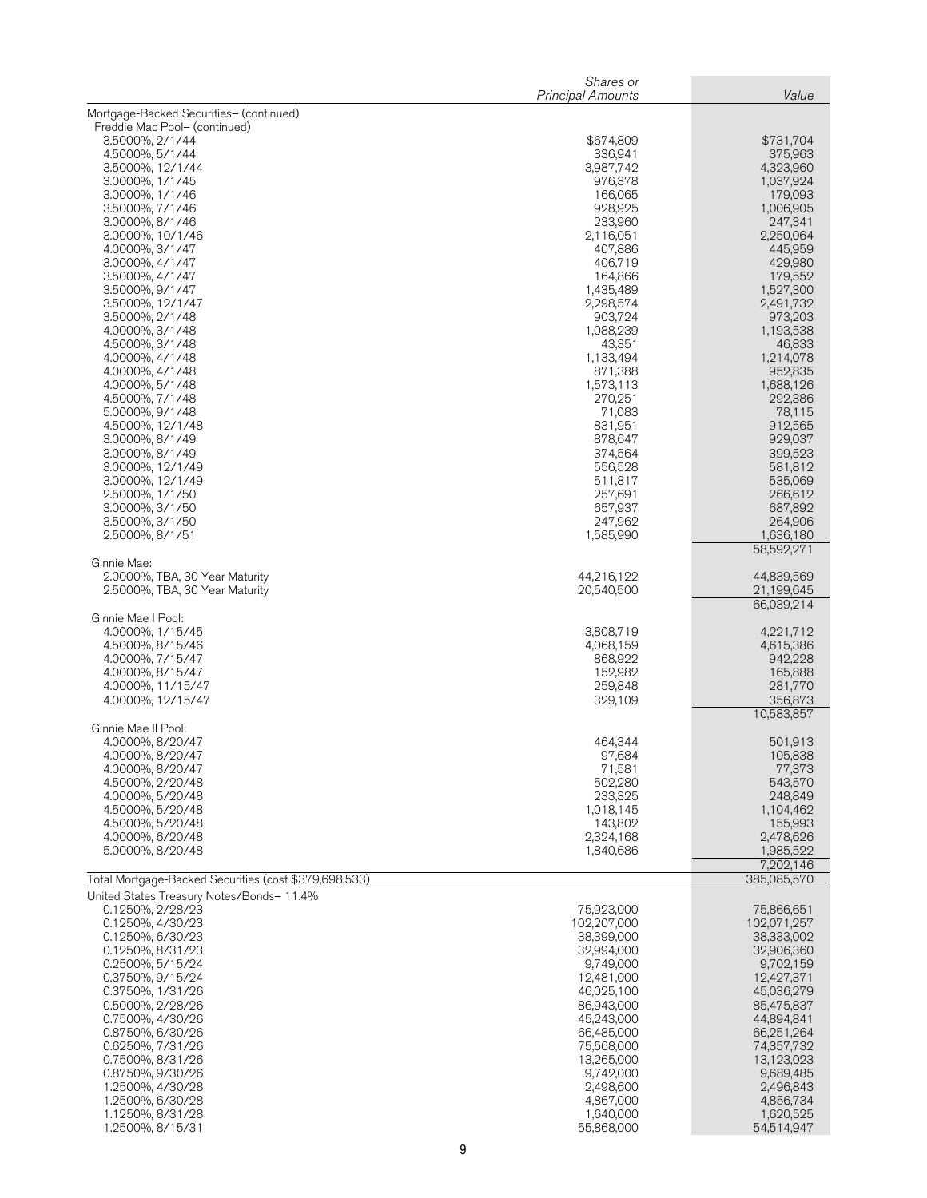|                                                                                                    | Shares or<br><b>Principal Amounts</b> | Value                    |
|----------------------------------------------------------------------------------------------------|---------------------------------------|--------------------------|
| Mortgage-Backed Securities- (continued)                                                            |                                       |                          |
| Freddie Mac Pool- (continued)                                                                      |                                       |                          |
| 3.5000%, 2/1/44                                                                                    | \$674,809                             | \$731,704                |
| 4.5000%, 5/1/44<br>3.5000%, 12/1/44                                                                | 336,941<br>3,987,742                  | 375,963<br>4,323,960     |
| 3.0000%, 1/1/45                                                                                    | 976,378                               | 1,037,924                |
| 3.0000%, 1/1/46                                                                                    | 166,065                               | 179,093                  |
| 3.5000%, 7/1/46<br>3.0000%, 8/1/46                                                                 | 928,925<br>233,960                    | 1,006,905<br>247,341     |
| 3.0000%, 10/1/46                                                                                   | 2,116,051                             | 2,250,064                |
| 4.0000%, 3/1/47                                                                                    | 407,886                               | 445,959                  |
| 3.0000%, 4/1/47<br>3.5000%, 4/1/47                                                                 | 406,719<br>164,866                    | 429,980<br>179,552       |
| 3.5000%, 9/1/47                                                                                    | 1,435,489                             | 1,527,300                |
| 3.5000%, 12/1/47                                                                                   | 2,298,574                             | 2,491,732                |
| 3.5000%, 2/1/48<br>4.0000%, 3/1/48                                                                 | 903,724<br>1,088,239                  | 973,203<br>1,193,538     |
| 4.5000%, 3/1/48                                                                                    | 43,351                                | 46,833                   |
| 4.0000%, 4/1/48                                                                                    | 1,133,494                             | 1,214,078                |
| 4.0000%, 4/1/48<br>4.0000%, 5/1/48                                                                 | 871,388<br>1,573,113                  | 952,835<br>1,688,126     |
| 4.5000%, 7/1/48                                                                                    | 270,251                               | 292,386                  |
| 5.0000%, 9/1/48                                                                                    | 71,083                                | 78,115                   |
| 4.5000%, 12/1/48<br>3.0000%, 8/1/49                                                                | 831,951<br>878,647                    | 912,565<br>929,037       |
| 3.0000%, 8/1/49                                                                                    | 374,564                               | 399,523                  |
| 3.0000%, 12/1/49                                                                                   | 556,528                               | 581,812                  |
| 3.0000%, 12/1/49<br>2.5000%, 1/1/50                                                                | 511,817<br>257,691                    | 535,069                  |
| 3.0000%, 3/1/50                                                                                    | 657,937                               | 266,612<br>687,892       |
| 3.5000%, 3/1/50                                                                                    | 247,962                               | 264,906                  |
| 2.5000%, 8/1/51                                                                                    | 1,585,990                             | 1,636,180                |
| Ginnie Mae:                                                                                        |                                       | 58,592,271               |
| 2.0000%, TBA, 30 Year Maturity                                                                     | 44,216,122                            | 44,839,569               |
| 2.5000%, TBA, 30 Year Maturity                                                                     | 20,540,500                            | 21,199,645<br>66,039,214 |
| Ginnie Mae I Pool:                                                                                 |                                       |                          |
| 4.0000%, 1/15/45                                                                                   | 3,808,719                             | 4,221,712                |
| 4.5000%, 8/15/46                                                                                   | 4,068,159                             | 4,615,386                |
| 4.0000%, 7/15/47<br>4.0000%, 8/15/47                                                               | 868,922<br>152,982                    | 942,228<br>165,888       |
| 4.0000%, 11/15/47                                                                                  | 259,848                               | 281,770                  |
| 4.0000%, 12/15/47                                                                                  | 329,109                               | 356,873                  |
| Ginnie Mae II Pool:                                                                                |                                       | 10,583,857               |
| 4.0000%, 8/20/47                                                                                   | 464,344                               | 501,913                  |
| 4.0000%, 8/20/47                                                                                   | 97,684                                | 105,838                  |
| 4.0000%, 8/20/47<br>4.5000%, 2/20/48                                                               | 71,581<br>502,280                     | 77,373<br>543,570        |
| 4.0000%, 5/20/48                                                                                   | 233,325                               | 248,849                  |
| 4.5000%, 5/20/48                                                                                   | 1,018,145                             | 1,104,462                |
| 4.5000%, 5/20/48<br>4.0000%, 6/20/48                                                               | 143,802<br>2,324,168                  | 155,993<br>2,478,626     |
| 5.0000%, 8/20/48                                                                                   | 1,840,686                             | 1,985,522                |
|                                                                                                    |                                       | 7,202,146<br>385,085,570 |
| Total Mortgage-Backed Securities (cost \$379,698,533)<br>United States Treasury Notes/Bonds- 11.4% |                                       |                          |
| 0.1250%, 2/28/23                                                                                   | 75,923,000                            | 75,866,651               |
| 0.1250%, 4/30/23                                                                                   | 102,207,000                           | 102,071,257              |
| 0.1250%, 6/30/23<br>0.1250%, 8/31/23                                                               | 38,399,000<br>32,994,000              | 38,333,002<br>32,906,360 |
| 0.2500%, 5/15/24                                                                                   | 9,749,000                             | 9,702,159                |
| 0.3750%, 9/15/24                                                                                   | 12,481,000                            | 12,427,371               |
| 0.3750%, 1/31/26<br>0.5000%, 2/28/26                                                               | 46,025,100<br>86,943,000              | 45,036,279<br>85,475,837 |
| 0.7500%, 4/30/26                                                                                   | 45,243,000                            | 44,894,841               |
| 0.8750%, 6/30/26                                                                                   | 66,485,000                            | 66,251,264               |
| 0.6250%, 7/31/26                                                                                   | 75,568,000                            | 74,357,732               |
| 0.7500%, 8/31/26<br>0.8750%, 9/30/26                                                               | 13,265,000<br>9,742,000               | 13,123,023<br>9,689,485  |
| 1.2500%, 4/30/28                                                                                   | 2,498,600                             | 2,496,843                |
| 1.2500%, 6/30/28                                                                                   | 4,867,000                             | 4,856,734                |
| 1.1250%, 8/31/28<br>1.2500%, 8/15/31                                                               | 1,640,000<br>55,868,000               | 1,620,525<br>54,514,947  |
|                                                                                                    |                                       |                          |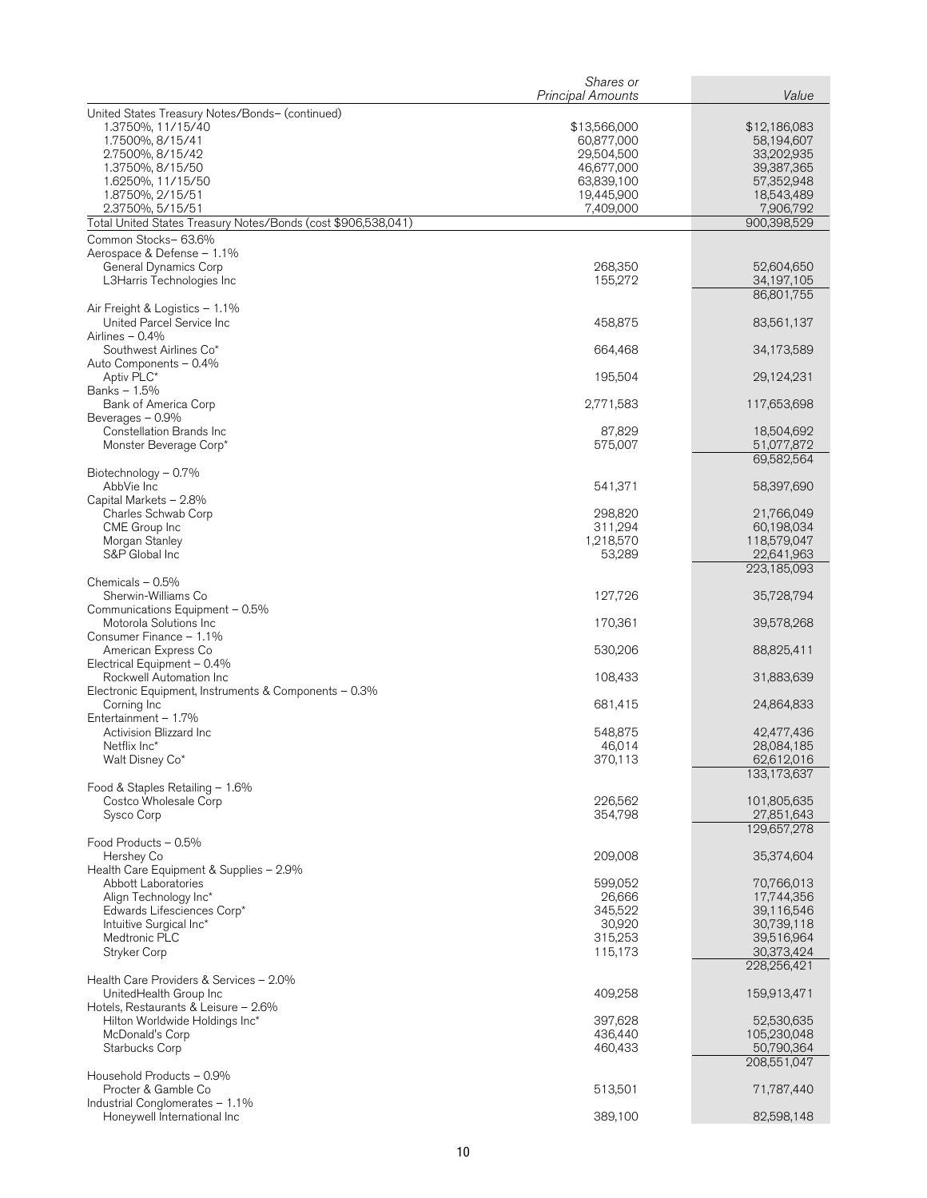|                                                                        | Shares or<br><b>Principal Amounts</b> | Value                     |
|------------------------------------------------------------------------|---------------------------------------|---------------------------|
| United States Treasury Notes/Bonds- (continued)                        |                                       |                           |
| 1.3750%, 11/15/40                                                      | \$13,566,000                          | \$12,186,083              |
| 1.7500%, 8/15/41                                                       | 60,877,000                            | 58,194,607                |
| 2.7500%, 8/15/42                                                       | 29,504,500                            | 33,202,935                |
| 1.3750%, 8/15/50<br>1.6250%, 11/15/50                                  | 46,677,000<br>63,839,100              | 39,387,365<br>57,352,948  |
| 1.8750%, 2/15/51                                                       | 19,445,900                            | 18,543,489                |
| 2.3750%, 5/15/51                                                       | 7,409,000                             | 7,906,792                 |
| Total United States Treasury Notes/Bonds (cost \$906,538,041)          |                                       | 900,398,529               |
| Common Stocks-63.6%                                                    |                                       |                           |
| Aerospace & Defense - 1.1%                                             | 268,350                               |                           |
| General Dynamics Corp<br>L3Harris Technologies Inc                     | 155,272                               | 52,604,650<br>34,197,105  |
|                                                                        |                                       | 86,801,755                |
| Air Freight & Logistics - 1.1%                                         |                                       |                           |
| United Parcel Service Inc                                              | 458,875                               | 83,561,137                |
| Airlines $-0.4%$<br>Southwest Airlines Co*                             | 664,468                               | 34,173,589                |
| Auto Components - 0.4%                                                 |                                       |                           |
| Aptiv PLC*                                                             | 195,504                               | 29,124,231                |
| Banks - 1.5%                                                           |                                       |                           |
| Bank of America Corp<br>Beverages - 0.9%                               | 2,771,583                             | 117,653,698               |
| Constellation Brands Inc                                               | 87,829                                | 18,504,692                |
| Monster Beverage Corp*                                                 | 575,007                               | 51,077,872                |
|                                                                        |                                       | 69,582,564                |
| Biotechnology - 0.7%                                                   |                                       |                           |
| AbbVie Inc<br>Capital Markets - 2.8%                                   | 541,371                               | 58,397,690                |
| Charles Schwab Corp                                                    | 298,820                               | 21,766,049                |
| CME Group Inc                                                          | 311,294                               | 60,198,034                |
| Morgan Stanley                                                         | 1,218,570                             | 118,579,047               |
| S&P Global Inc                                                         | 53,289                                | 22,641,963<br>223,185,093 |
| Chemicals $-0.5%$                                                      |                                       |                           |
| Sherwin-Williams Co                                                    | 127,726                               | 35,728,794                |
| Communications Equipment - 0.5%                                        |                                       |                           |
| Motorola Solutions Inc<br>Consumer Finance - 1.1%                      | 170,361                               | 39,578,268                |
| American Express Co                                                    | 530,206                               | 88,825,411                |
| Electrical Equipment - 0.4%                                            |                                       |                           |
| Rockwell Automation Inc                                                | 108,433                               | 31,883,639                |
| Electronic Equipment, Instruments & Components $-0.3\%$<br>Corning Inc | 681,415                               | 24,864,833                |
| Entertainment - 1.7%                                                   |                                       |                           |
| Activision Blizzard Inc                                                | 548,875                               | 42,477,436                |
| Netflix Inc*                                                           | 46,014                                | 28,084,185                |
| Walt Disney Co*                                                        | 370,113                               | 62,612,016<br>133,173,637 |
| Food & Staples Retailing - 1.6%                                        |                                       |                           |
| Costco Wholesale Corp                                                  | 226,562                               | 101,805,635               |
| Sysco Corp                                                             | 354,798                               | 27,851,643                |
|                                                                        |                                       | 129,657,278               |
| Food Products - 0.5%<br>Hershey Co                                     | 209,008                               | 35,374,604                |
| Health Care Equipment & Supplies - 2.9%                                |                                       |                           |
| <b>Abbott Laboratories</b>                                             | 599.052                               | 70,766,013                |
| Align Technology Inc*                                                  | 26,666                                | 17,744,356                |
| Edwards Lifesciences Corp*<br>Intuitive Surgical Inc*                  | 345,522<br>30,920                     | 39,116,546<br>30,739,118  |
| Medtronic PLC                                                          | 315,253                               | 39,516,964                |
| Stryker Corp                                                           | 115,173                               | 30,373,424                |
|                                                                        |                                       | 228,256,421               |
| Health Care Providers & Services - 2.0%                                |                                       |                           |
| UnitedHealth Group Inc<br>Hotels, Restaurants & Leisure - 2.6%         | 409,258                               | 159,913,471               |
| Hilton Worldwide Holdings Inc*                                         | 397,628                               | 52,530,635                |
| McDonald's Corp                                                        | 436,440                               | 105,230,048               |
| Starbucks Corp                                                         | 460,433                               | 50,790,364                |
| Household Products - 0.9%                                              |                                       | 208,551,047               |
| Procter & Gamble Co                                                    | 513,501                               | 71,787,440                |
| Industrial Conglomerates - 1.1%                                        |                                       |                           |
| Honeywell International Inc                                            | 389,100                               | 82,598,148                |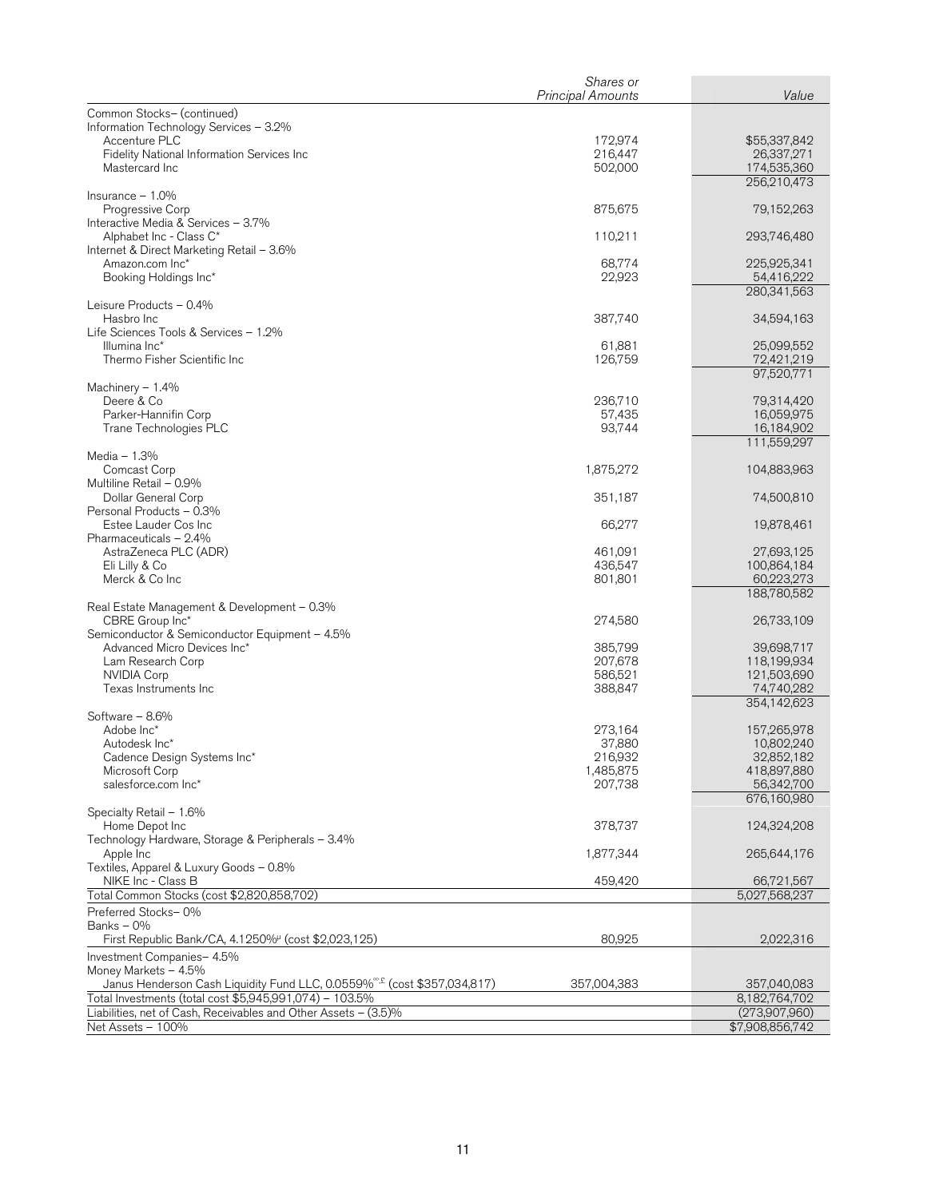|                                                                                       | Shares or<br><b>Principal Amounts</b> | Value                      |
|---------------------------------------------------------------------------------------|---------------------------------------|----------------------------|
| Common Stocks- (continued)                                                            |                                       |                            |
| Information Technology Services - 3.2%                                                |                                       |                            |
| Accenture PLC                                                                         | 172,974                               | \$55,337,842               |
| Fidelity National Information Services Inc                                            | 216,447                               | 26,337,271                 |
| Mastercard Inc                                                                        | 502,000                               | 174,535,360<br>256,210,473 |
| Insurance $-1.0\%$                                                                    |                                       |                            |
| Progressive Corp                                                                      | 875,675                               | 79,152,263                 |
| Interactive Media & Services - 3.7%                                                   |                                       |                            |
| Alphabet Inc - Class C*                                                               | 110,211                               | 293,746,480                |
| Internet & Direct Marketing Retail - 3.6%<br>Amazon.com Inc*                          | 68,774                                | 225,925,341                |
| Booking Holdings Inc*                                                                 | 22,923                                | 54,416,222                 |
|                                                                                       |                                       | 280,341,563                |
| Leisure Products - 0.4%                                                               |                                       |                            |
| Hasbro Inc<br>Life Sciences Tools & Services - 1.2%                                   | 387,740                               | 34,594,163                 |
| Illumina Inc*                                                                         | 61,881                                | 25,099,552                 |
| Thermo Fisher Scientific Inc                                                          | 126,759                               | 72,421,219                 |
|                                                                                       |                                       | 97,520,771                 |
| Machinery $-1.4%$<br>Deere & Co                                                       | 236,710                               | 79,314,420                 |
| Parker-Hannifin Corp                                                                  | 57,435                                | 16,059,975                 |
| Trane Technologies PLC                                                                | 93,744                                | 16,184,902                 |
|                                                                                       |                                       | 111,559,297                |
| Media $-1.3%$<br>Comcast Corp                                                         | 1,875,272                             | 104,883,963                |
| Multiline Retail - 0.9%                                                               |                                       |                            |
| Dollar General Corp                                                                   | 351,187                               | 74,500,810                 |
| Personal Products - 0.3%                                                              |                                       |                            |
| Estee Lauder Cos Inc<br>Pharmaceuticals - 2.4%                                        | 66,277                                | 19,878,461                 |
| AstraZeneca PLC (ADR)                                                                 | 461,091                               | 27,693,125                 |
| Eli Lilly & Co                                                                        | 436,547                               | 100,864,184                |
| Merck & Co Inc                                                                        | 801,801                               | 60,223,273                 |
| Real Estate Management & Development - 0.3%                                           |                                       | 188,780,582                |
| CBRE Group Inc*                                                                       | 274,580                               | 26,733,109                 |
| Semiconductor & Semiconductor Equipment - 4.5%                                        |                                       |                            |
| Advanced Micro Devices Inc*                                                           | 385,799                               | 39,698,717                 |
| Lam Research Corp<br><b>NVIDIA Corp</b>                                               | 207,678<br>586,521                    | 118,199,934<br>121,503,690 |
| Texas Instruments Inc                                                                 | 388,847                               | 74,740,282                 |
|                                                                                       |                                       | 354,142,623                |
| Software - 8.6%                                                                       |                                       |                            |
| Adobe Inc*<br>Autodesk Inc*                                                           | 273,164<br>37,880                     | 157,265,978<br>10,802,240  |
| Cadence Design Systems Inc*                                                           | 216,932                               | 32,852,182                 |
| Microsoft Corp                                                                        | 1,485,875                             | 418,897,880                |
| salesforce.com Inc*                                                                   | 207,738                               | 56,342,700                 |
| Specialty Retail - 1.6%                                                               |                                       | 676,160,980                |
| Home Depot Inc                                                                        | 378,737                               | 124,324,208                |
| Technology Hardware, Storage & Peripherals - 3.4%                                     |                                       |                            |
| Apple Inc                                                                             | 1,877,344                             | 265,644,176                |
| Textiles, Apparel & Luxury Goods - 0.8%<br>NIKE Inc - Class B                         | 459,420                               | 66,721,567                 |
| Total Common Stocks (cost \$2,820,858,702)                                            |                                       | 5,027,568,237              |
| Preferred Stocks-0%                                                                   |                                       |                            |
| Banks - 0%                                                                            |                                       |                            |
| First Republic Bank/CA, 4.1250% (cost \$2,023,125)                                    | 80,925                                | 2,022,316                  |
| Investment Companies- 4.5%<br>Money Markets - 4.5%                                    |                                       |                            |
| Janus Henderson Cash Liquidity Fund LLC, 0.0559% <sup>®, £</sup> (cost \$357,034,817) | 357,004,383                           | 357,040,083                |
| Total Investments (total cost \$5,945,991,074) - 103.5%                               |                                       | 8,182,764,702              |
| Liabilities, net of Cash, Receivables and Other Assets - (3.5)%                       |                                       | (273,907,960)              |
| Net Assets - 100%                                                                     |                                       | \$7,908,856,742            |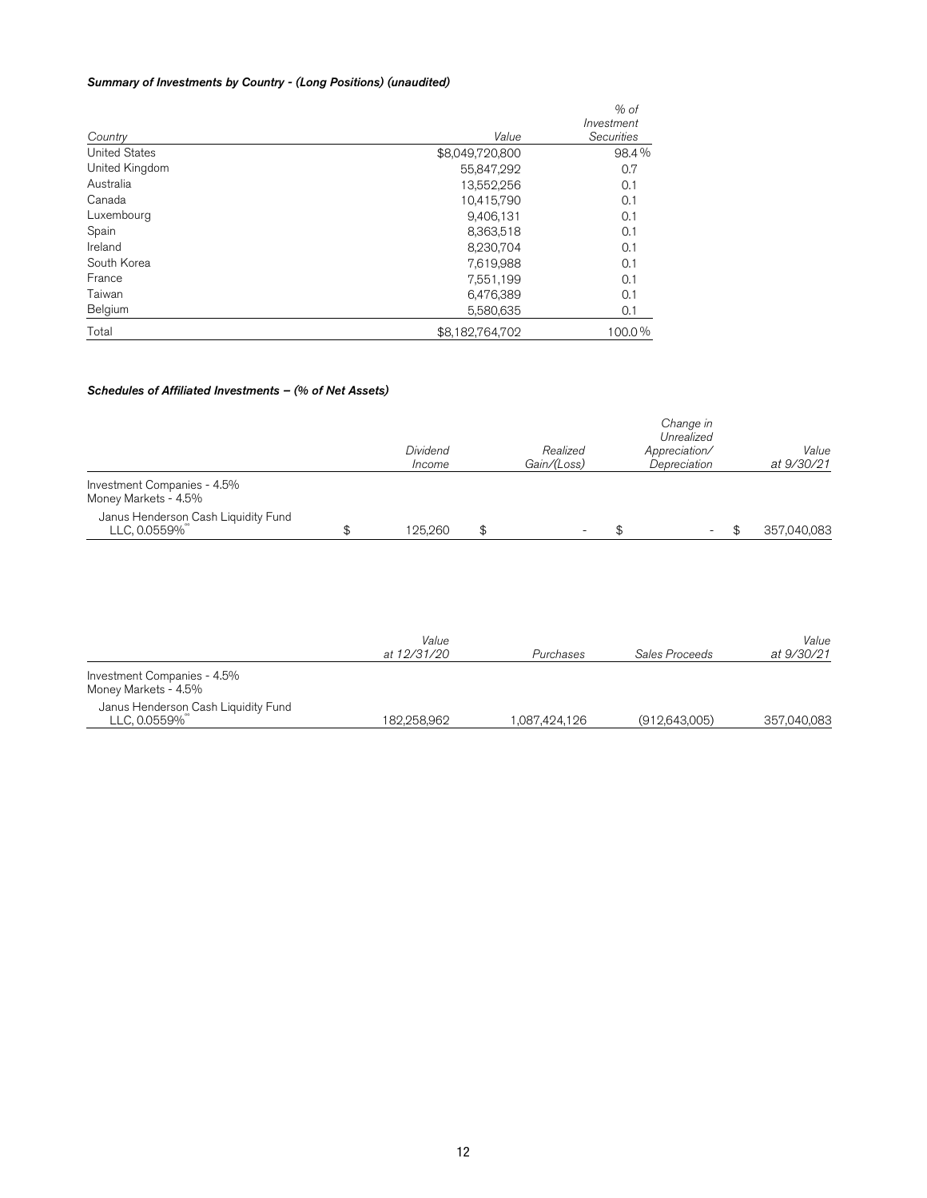## Summary of Investments by Country - (Long Positions) (unaudited)

|                      |                 | $%$ of     |
|----------------------|-----------------|------------|
|                      |                 | Investment |
| Country              | Value           | Securities |
| <b>United States</b> | \$8,049,720,800 | 98.4%      |
| United Kingdom       | 55,847,292      | 0.7        |
| Australia            | 13,552,256      | 0.1        |
| Canada               | 10,415,790      | 0.1        |
| Luxembourg           | 9,406,131       | 0.1        |
| Spain                | 8,363,518       | 0.1        |
| Ireland              | 8,230,704       | 0.1        |
| South Korea          | 7,619,988       | 0.1        |
| France               | 7,551,199       | 0.1        |
| Taiwan               | 6,476,389       | 0.1        |
| Belgium              | 5,580,635       | 0.1        |
| Total                | \$8,182,764,702 | 100.0%     |

#### Schedules of Affiliated Investments – (% of Net Assets)

|                                                     | Dividend<br>Income | Realized<br>Gain/(Loss) | Change in<br>Unrealized<br>Appreciation/<br>Depreciation | Value<br>at 9/30/21 |
|-----------------------------------------------------|--------------------|-------------------------|----------------------------------------------------------|---------------------|
| Investment Companies - 4.5%<br>Money Markets - 4.5% |                    |                         |                                                          |                     |
| Janus Henderson Cash Liquidity Fund<br>LLC, 0.0559% | 125.260            | -                       | $\overline{\phantom{0}}$                                 | 357.040.083         |

|                                                     | Value<br>at 12/31/20 | Purchases     | Sales Proceeds  | Value<br>at 9/30/21 |
|-----------------------------------------------------|----------------------|---------------|-----------------|---------------------|
| Investment Companies - 4.5%<br>Money Markets - 4.5% |                      |               |                 |                     |
| Janus Henderson Cash Liquidity Fund<br>LLC, 0.0559% | 182.258.962          | 1,087,424,126 | (912, 643, 005) | 357,040,083         |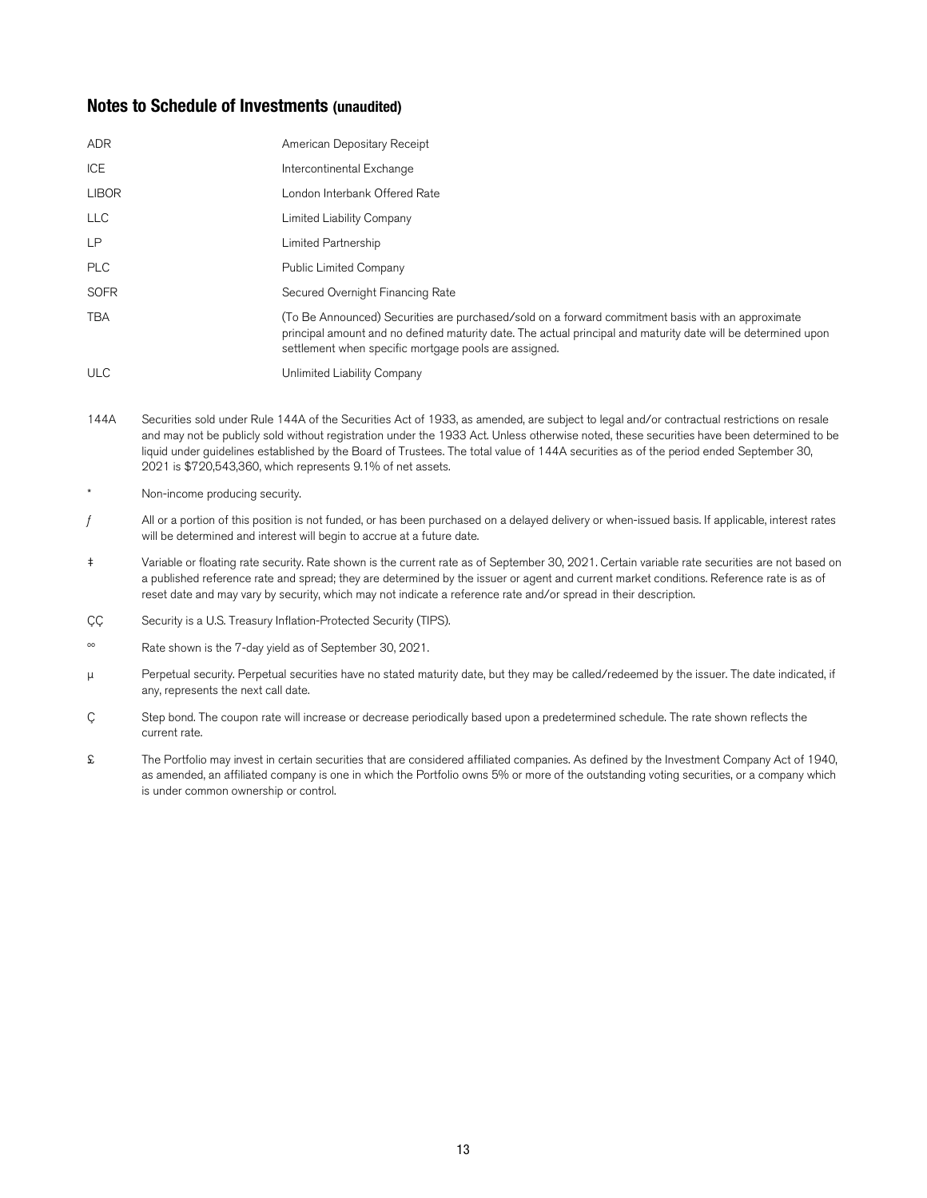## **Notes to Schedule of Investments (unaudited)**

| <b>ADR</b>   | American Depositary Receipt                                                                                                                                                                                                                                                 |
|--------------|-----------------------------------------------------------------------------------------------------------------------------------------------------------------------------------------------------------------------------------------------------------------------------|
| ICE          | Intercontinental Exchange                                                                                                                                                                                                                                                   |
| <b>LIBOR</b> | London Interbank Offered Rate                                                                                                                                                                                                                                               |
| <b>LLC</b>   | Limited Liability Company                                                                                                                                                                                                                                                   |
| <b>LP</b>    | Limited Partnership                                                                                                                                                                                                                                                         |
| <b>PLC</b>   | <b>Public Limited Company</b>                                                                                                                                                                                                                                               |
| <b>SOFR</b>  | Secured Overnight Financing Rate                                                                                                                                                                                                                                            |
| <b>TBA</b>   | (To Be Announced) Securities are purchased/sold on a forward commitment basis with an approximate<br>principal amount and no defined maturity date. The actual principal and maturity date will be determined upon<br>settlement when specific mortgage pools are assigned. |
| <b>ULC</b>   | Unlimited Liability Company                                                                                                                                                                                                                                                 |

- 144A Securities sold under Rule 144A of the Securities Act of 1933, as amended, are subject to legal and/or contractual restrictions on resale and may not be publicly sold without registration under the 1933 Act. Unless otherwise noted, these securities have been determined to be liquid under guidelines established by the Board of Trustees. The total value of 144A securities as of the period ended September 30, 2021 is \$720,543,360, which represents 9.1% of net assets.
- Non-income producing security.
- $f$  All or a portion of this position is not funded, or has been purchased on a delayed delivery or when-issued basis. If applicable, interest rates will be determined and interest will begin to accrue at a future date.
- ‡ Variable or floating rate security. Rate shown is the current rate as of September 30, 2021. Certain variable rate securities are not based on a published reference rate and spread; they are determined by the issuer or agent and current market conditions. Reference rate is as of reset date and may vary by security, which may not indicate a reference rate and/or spread in their description.
- ÇÇ Security is a U.S. Treasury Inflation-Protected Security (TIPS).
- ºº Rate shown is the 7-day yield as of September 30, 2021.
- μ Perpetual security. Perpetual securities have no stated maturity date, but they may be called/redeemed by the issuer. The date indicated, if any, represents the next call date.
- Ç Step bond. The coupon rate will increase or decrease periodically based upon a predetermined schedule. The rate shown reflects the current rate.
- £ The Portfolio may invest in certain securities that are considered affiliated companies. As defined by the Investment Company Act of 1940, as amended, an affiliated company is one in which the Portfolio owns 5% or more of the outstanding voting securities, or a company which is under common ownership or control.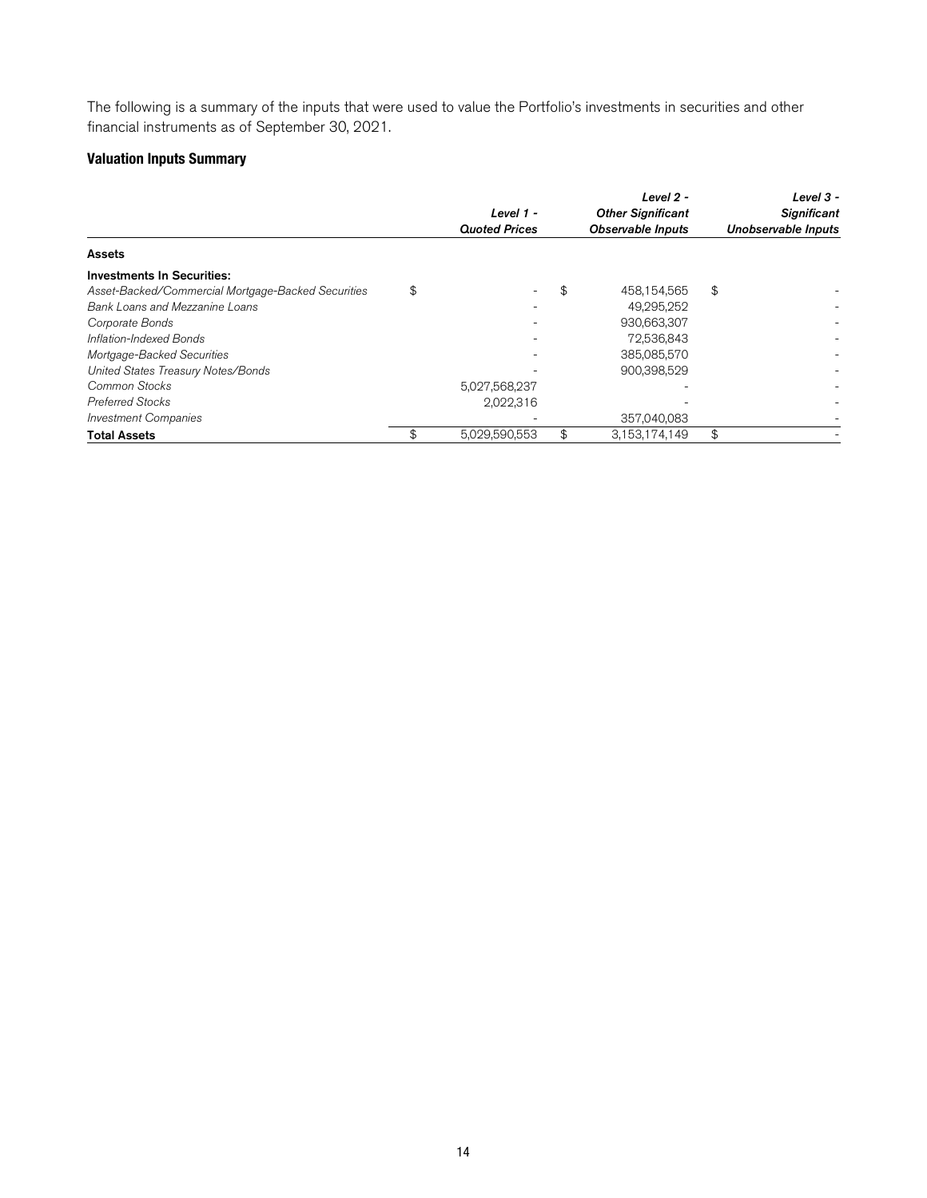The following is a summary of the inputs that were used to value the Portfolio's investments in securities and other financial instruments as of September 30, 2021.

## **Valuation Inputs Summary**

|                                                    | Level 1 -<br><b>Quoted Prices</b> | Level 2 -<br><b>Other Significant</b><br><b>Observable Inputs</b> | Level $3 -$<br><b>Significant</b><br>Unobservable Inputs |
|----------------------------------------------------|-----------------------------------|-------------------------------------------------------------------|----------------------------------------------------------|
| <b>Assets</b>                                      |                                   |                                                                   |                                                          |
| <b>Investments In Securities:</b>                  |                                   |                                                                   |                                                          |
| Asset-Backed/Commercial Mortgage-Backed Securities | \$                                | \$<br>458,154,565                                                 | \$                                                       |
| Bank Loans and Mezzanine Loans                     |                                   | 49.295.252                                                        |                                                          |
| Corporate Bonds                                    |                                   | 930,663,307                                                       |                                                          |
| Inflation-Indexed Bonds                            |                                   | 72,536,843                                                        |                                                          |
| Mortgage-Backed Securities                         |                                   | 385,085,570                                                       |                                                          |
| United States Treasury Notes/Bonds                 |                                   | 900,398,529                                                       |                                                          |
| Common Stocks                                      | 5,027,568,237                     |                                                                   |                                                          |
| <b>Preferred Stocks</b>                            | 2,022,316                         |                                                                   |                                                          |
| <b>Investment Companies</b>                        |                                   | 357,040,083                                                       |                                                          |
| <b>Total Assets</b>                                | \$<br>5,029,590,553               | \$<br>3.153.174.149                                               | \$                                                       |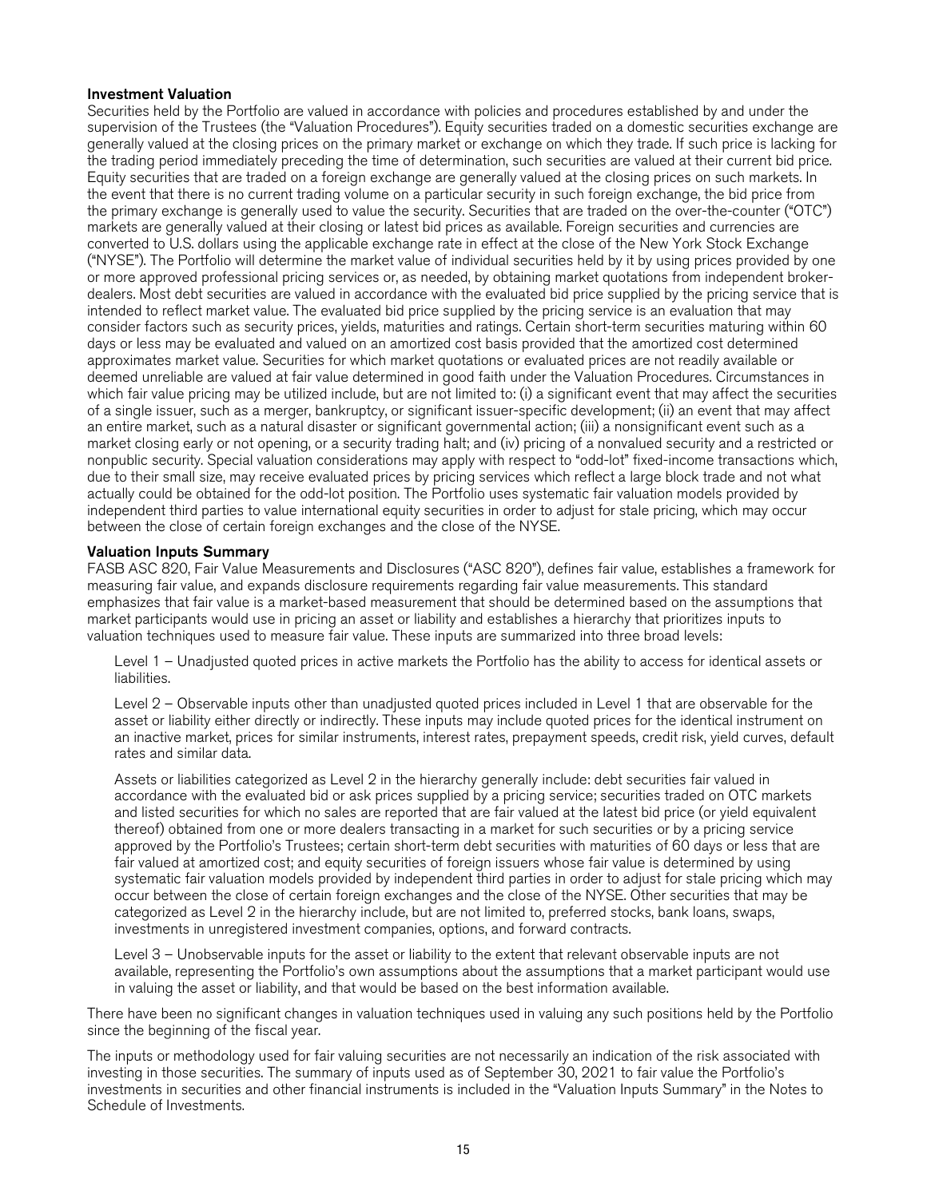### Investment Valuation

Securities held by the Portfolio are valued in accordance with policies and procedures established by and under the supervision of the Trustees (the "Valuation Procedures"). Equity securities traded on a domestic securities exchange are generally valued at the closing prices on the primary market or exchange on which they trade. If such price is lacking for the trading period immediately preceding the time of determination, such securities are valued at their current bid price. Equity securities that are traded on a foreign exchange are generally valued at the closing prices on such markets. In the event that there is no current trading volume on a particular security in such foreign exchange, the bid price from the primary exchange is generally used to value the security. Securities that are traded on the over-the-counter ("OTC") markets are generally valued at their closing or latest bid prices as available. Foreign securities and currencies are converted to U.S. dollars using the applicable exchange rate in effect at the close of the New York Stock Exchange ("NYSE"). The Portfolio will determine the market value of individual securities held by it by using prices provided by one or more approved professional pricing services or, as needed, by obtaining market quotations from independent brokerdealers. Most debt securities are valued in accordance with the evaluated bid price supplied by the pricing service that is intended to reflect market value. The evaluated bid price supplied by the pricing service is an evaluation that may consider factors such as security prices, yields, maturities and ratings. Certain short-term securities maturing within 60 days or less may be evaluated and valued on an amortized cost basis provided that the amortized cost determined approximates market value. Securities for which market quotations or evaluated prices are not readily available or deemed unreliable are valued at fair value determined in good faith under the Valuation Procedures. Circumstances in which fair value pricing may be utilized include, but are not limited to: (i) a significant event that may affect the securities of a single issuer, such as a merger, bankruptcy, or significant issuer-specific development; (ii) an event that may affect an entire market, such as a natural disaster or significant governmental action; (iii) a nonsignificant event such as a market closing early or not opening, or a security trading halt; and (iv) pricing of a nonvalued security and a restricted or nonpublic security. Special valuation considerations may apply with respect to "odd-lot" fixed-income transactions which, due to their small size, may receive evaluated prices by pricing services which reflect a large block trade and not what actually could be obtained for the odd-lot position. The Portfolio uses systematic fair valuation models provided by independent third parties to value international equity securities in order to adjust for stale pricing, which may occur between the close of certain foreign exchanges and the close of the NYSE.

### Valuation Inputs Summary

FASB ASC 820, Fair Value Measurements and Disclosures ("ASC 820"), defines fair value, establishes a framework for measuring fair value, and expands disclosure requirements regarding fair value measurements. This standard emphasizes that fair value is a market-based measurement that should be determined based on the assumptions that market participants would use in pricing an asset or liability and establishes a hierarchy that prioritizes inputs to valuation techniques used to measure fair value. These inputs are summarized into three broad levels:

Level 1 – Unadjusted quoted prices in active markets the Portfolio has the ability to access for identical assets or liabilities.

Level 2 – Observable inputs other than unadjusted quoted prices included in Level 1 that are observable for the asset or liability either directly or indirectly. These inputs may include quoted prices for the identical instrument on an inactive market, prices for similar instruments, interest rates, prepayment speeds, credit risk, yield curves, default rates and similar data.

Assets or liabilities categorized as Level 2 in the hierarchy generally include: debt securities fair valued in accordance with the evaluated bid or ask prices supplied by a pricing service; securities traded on OTC markets and listed securities for which no sales are reported that are fair valued at the latest bid price (or yield equivalent thereof) obtained from one or more dealers transacting in a market for such securities or by a pricing service approved by the Portfolio's Trustees; certain short-term debt securities with maturities of 60 days or less that are fair valued at amortized cost; and equity securities of foreign issuers whose fair value is determined by using systematic fair valuation models provided by independent third parties in order to adjust for stale pricing which may occur between the close of certain foreign exchanges and the close of the NYSE. Other securities that may be categorized as Level 2 in the hierarchy include, but are not limited to, preferred stocks, bank loans, swaps, investments in unregistered investment companies, options, and forward contracts.

Level 3 – Unobservable inputs for the asset or liability to the extent that relevant observable inputs are not available, representing the Portfolio's own assumptions about the assumptions that a market participant would use in valuing the asset or liability, and that would be based on the best information available.

There have been no significant changes in valuation techniques used in valuing any such positions held by the Portfolio since the beginning of the fiscal year.

The inputs or methodology used for fair valuing securities are not necessarily an indication of the risk associated with investing in those securities. The summary of inputs used as of September 30, 2021 to fair value the Portfolio's investments in securities and other financial instruments is included in the "Valuation Inputs Summary" in the Notes to Schedule of Investments.